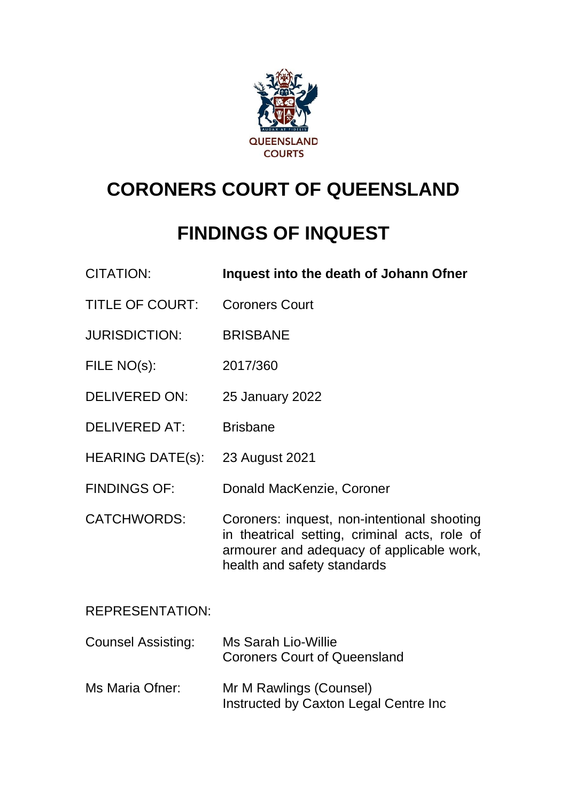

# **CORONERS COURT OF QUEENSLAND**

# **FINDINGS OF INQUEST**

| <b>CITATION:</b>          | Inquest into the death of Johann Ofner                                                                                                                                   |
|---------------------------|--------------------------------------------------------------------------------------------------------------------------------------------------------------------------|
| <b>TITLE OF COURT:</b>    | <b>Coroners Court</b>                                                                                                                                                    |
| <b>JURISDICTION:</b>      | <b>BRISBANE</b>                                                                                                                                                          |
| FILE NO(s):               | 2017/360                                                                                                                                                                 |
| <b>DELIVERED ON:</b>      | 25 January 2022                                                                                                                                                          |
| <b>DELIVERED AT:</b>      | <b>Brisbane</b>                                                                                                                                                          |
| <b>HEARING DATE(s):</b>   | 23 August 2021                                                                                                                                                           |
| <b>FINDINGS OF:</b>       | Donald MacKenzie, Coroner                                                                                                                                                |
| <b>CATCHWORDS:</b>        | Coroners: inquest, non-intentional shooting<br>in theatrical setting, criminal acts, role of<br>armourer and adequacy of applicable work,<br>health and safety standards |
| <b>REPRESENTATION:</b>    |                                                                                                                                                                          |
| <b>Counsel Assisting:</b> | <b>Ms Sarah Lio-Willie</b><br><b>Coroners Court of Queensland</b>                                                                                                        |
| Ms Maria Ofner:           | Mr M Rawlings (Counsel)                                                                                                                                                  |

Instructed by Caxton Legal Centre Inc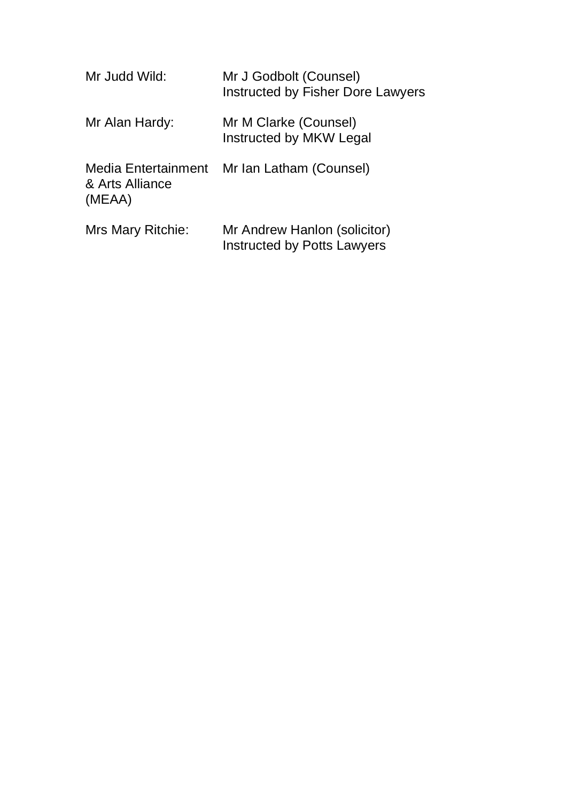| Mr Judd Wild:                                    | Mr J Godbolt (Counsel)<br>Instructed by Fisher Dore Lawyers        |
|--------------------------------------------------|--------------------------------------------------------------------|
| Mr Alan Hardy:                                   | Mr M Clarke (Counsel)<br>Instructed by MKW Legal                   |
| Media Entertainment<br>& Arts Alliance<br>(MEAA) | Mr Ian Latham (Counsel)                                            |
| Mrs Mary Ritchie:                                | Mr Andrew Hanlon (solicitor)<br><b>Instructed by Potts Lawyers</b> |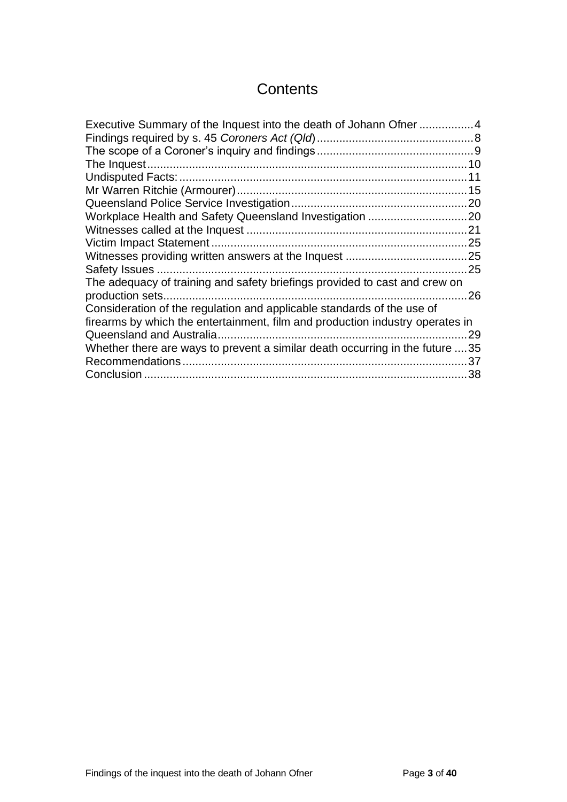# **Contents**

| Executive Summary of the Inquest into the death of Johann Ofner 4             |     |
|-------------------------------------------------------------------------------|-----|
|                                                                               |     |
|                                                                               |     |
|                                                                               |     |
|                                                                               | 11  |
|                                                                               |     |
|                                                                               |     |
|                                                                               |     |
|                                                                               |     |
|                                                                               |     |
|                                                                               |     |
|                                                                               | .25 |
| The adequacy of training and safety briefings provided to cast and crew on    |     |
|                                                                               | .26 |
| Consideration of the regulation and applicable standards of the use of        |     |
| firearms by which the entertainment, film and production industry operates in |     |
|                                                                               | 29  |
| Whether there are ways to prevent a similar death occurring in the future 35  |     |
|                                                                               | 37  |
|                                                                               | 38  |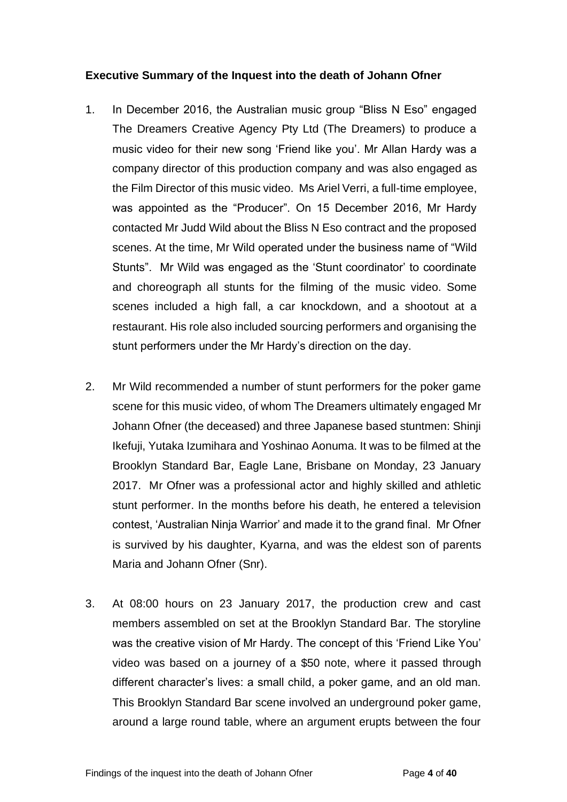#### <span id="page-3-0"></span>**Executive Summary of the Inquest into the death of Johann Ofner**

- 1. In December 2016, the Australian music group "Bliss N Eso" engaged The Dreamers Creative Agency Pty Ltd (The Dreamers) to produce a music video for their new song 'Friend like you'. Mr Allan Hardy was a company director of this production company and was also engaged as the Film Director of this music video. Ms Ariel Verri, a full-time employee, was appointed as the "Producer". On 15 December 2016, Mr Hardy contacted Mr Judd Wild about the Bliss N Eso contract and the proposed scenes. At the time, Mr Wild operated under the business name of "Wild Stunts". Mr Wild was engaged as the 'Stunt coordinator' to coordinate and choreograph all stunts for the filming of the music video. Some scenes included a high fall, a car knockdown, and a shootout at a restaurant. His role also included sourcing performers and organising the stunt performers under the Mr Hardy's direction on the day.
- 2. Mr Wild recommended a number of stunt performers for the poker game scene for this music video, of whom The Dreamers ultimately engaged Mr Johann Ofner (the deceased) and three Japanese based stuntmen: Shinji Ikefuji, Yutaka Izumihara and Yoshinao Aonuma. It was to be filmed at the Brooklyn Standard Bar, Eagle Lane, Brisbane on Monday, 23 January 2017. Mr Ofner was a professional actor and highly skilled and athletic stunt performer. In the months before his death, he entered a television contest, 'Australian Ninja Warrior' and made it to the grand final. Mr Ofner is survived by his daughter, Kyarna, and was the eldest son of parents Maria and Johann Ofner (Snr).
- 3. At 08:00 hours on 23 January 2017, the production crew and cast members assembled on set at the Brooklyn Standard Bar. The storyline was the creative vision of Mr Hardy. The concept of this 'Friend Like You' video was based on a journey of a \$50 note, where it passed through different character's lives: a small child, a poker game, and an old man. This Brooklyn Standard Bar scene involved an underground poker game, around a large round table, where an argument erupts between the four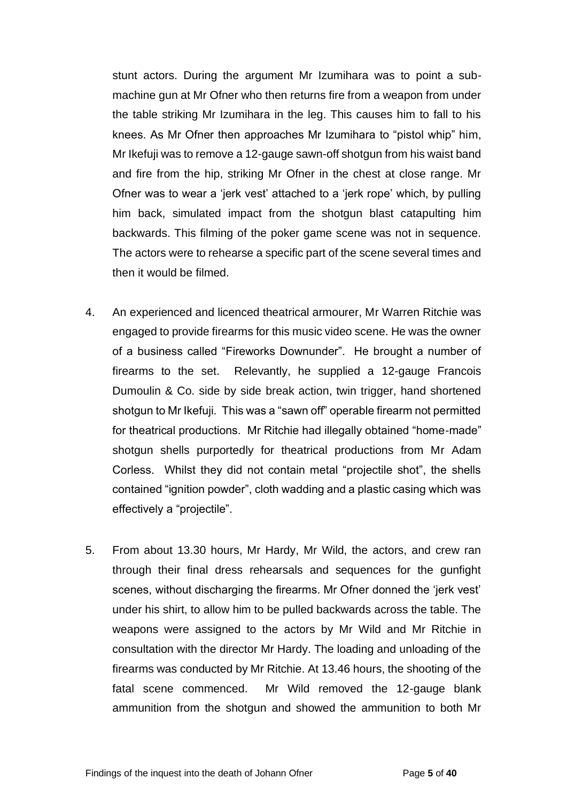stunt actors. During the argument Mr Izumihara was to point a submachine gun at Mr Ofner who then returns fire from a weapon from under the table striking Mr Izumihara in the leg. This causes him to fall to his knees. As Mr Ofner then approaches Mr Izumihara to "pistol whip" him, Mr Ikefuji was to remove a 12-gauge sawn-off shotgun from his waist band and fire from the hip, striking Mr Ofner in the chest at close range. Mr Ofner was to wear a 'jerk vest' attached to a 'jerk rope' which, by pulling him back, simulated impact from the shotgun blast catapulting him backwards. This filming of the poker game scene was not in sequence. The actors were to rehearse a specific part of the scene several times and then it would be filmed.

- 4. An experienced and licenced theatrical armourer, Mr Warren Ritchie was engaged to provide firearms for this music video scene. He was the owner of a business called "Fireworks Downunder". He brought a number of firearms to the set. Relevantly, he supplied a 12-gauge Francois Dumoulin & Co. side by side break action, twin trigger, hand shortened shotgun to Mr Ikefuji. This was a "sawn off" operable firearm not permitted for theatrical productions. Mr Ritchie had illegally obtained "home-made" shotgun shells purportedly for theatrical productions from Mr Adam Corless. Whilst they did not contain metal "projectile shot", the shells contained "ignition powder", cloth wadding and a plastic casing which was effectively a "projectile".
- 5. From about 13.30 hours, Mr Hardy, Mr Wild, the actors, and crew ran through their final dress rehearsals and sequences for the gunfight scenes, without discharging the firearms. Mr Ofner donned the 'jerk vest' under his shirt, to allow him to be pulled backwards across the table. The weapons were assigned to the actors by Mr Wild and Mr Ritchie in consultation with the director Mr Hardy. The loading and unloading of the firearms was conducted by Mr Ritchie. At 13.46 hours, the shooting of the fatal scene commenced. Mr Wild removed the 12-gauge blank ammunition from the shotgun and showed the ammunition to both Mr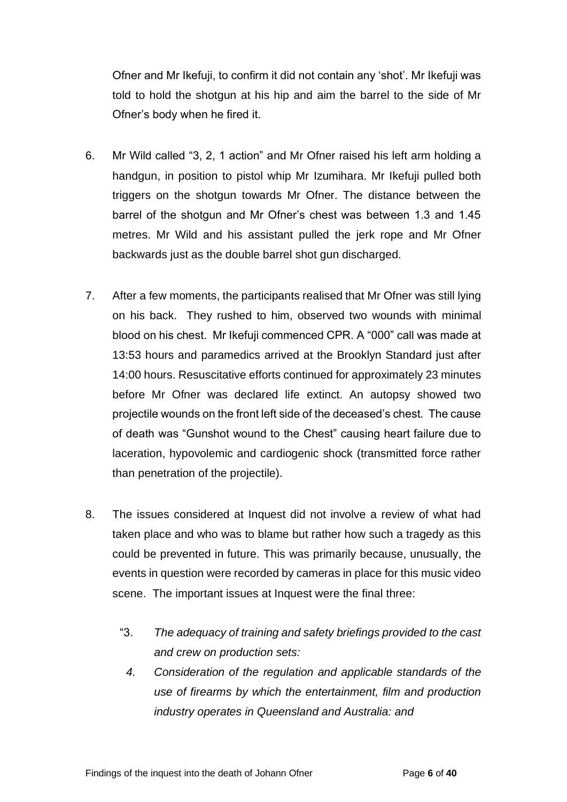Ofner and Mr Ikefuji, to confirm it did not contain any 'shot'. Mr Ikefuji was told to hold the shotgun at his hip and aim the barrel to the side of Mr Ofner's body when he fired it.

- 6. Mr Wild called "3, 2, 1 action" and Mr Ofner raised his left arm holding a handgun, in position to pistol whip Mr Izumihara. Mr Ikefuji pulled both triggers on the shotgun towards Mr Ofner. The distance between the barrel of the shotgun and Mr Ofner's chest was between 1.3 and 1.45 metres. Mr Wild and his assistant pulled the jerk rope and Mr Ofner backwards just as the double barrel shot gun discharged.
- 7. After a few moments, the participants realised that Mr Ofner was still lying on his back. They rushed to him, observed two wounds with minimal blood on his chest. Mr Ikefuji commenced CPR. A "000" call was made at 13:53 hours and paramedics arrived at the Brooklyn Standard just after 14:00 hours. Resuscitative efforts continued for approximately 23 minutes before Mr Ofner was declared life extinct. An autopsy showed two projectile wounds on the front left side of the deceased's chest. The cause of death was "Gunshot wound to the Chest" causing heart failure due to laceration, hypovolemic and cardiogenic shock (transmitted force rather than penetration of the projectile).
- 8. The issues considered at Inquest did not involve a review of what had taken place and who was to blame but rather how such a tragedy as this could be prevented in future. This was primarily because, unusually, the events in question were recorded by cameras in place for this music video scene. The important issues at Inquest were the final three:
	- "3. *The adequacy of training and safety briefings provided to the cast and crew on production sets:*
		- *4. Consideration of the regulation and applicable standards of the use of firearms by which the entertainment, film and production industry operates in Queensland and Australia: and*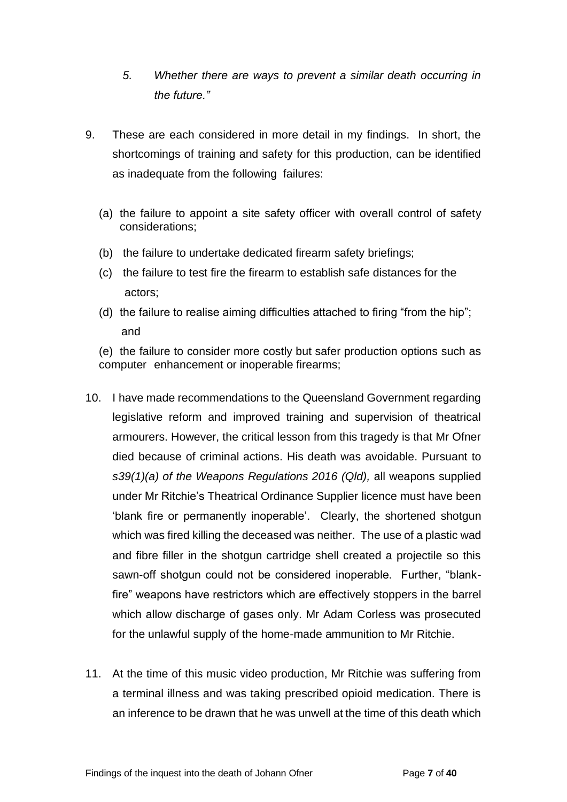- *5. Whether there are ways to prevent a similar death occurring in the future."*
- 9. These are each considered in more detail in my findings. In short, the shortcomings of training and safety for this production, can be identified as inadequate from the following failures:
	- (a) the failure to appoint a site safety officer with overall control of safety considerations;
	- (b) the failure to undertake dedicated firearm safety briefings;
	- (c) the failure to test fire the firearm to establish safe distances for the actors;
	- (d) the failure to realise aiming difficulties attached to firing "from the hip"; and

(e) the failure to consider more costly but safer production options such as computer enhancement or inoperable firearms;

- 10. I have made recommendations to the Queensland Government regarding legislative reform and improved training and supervision of theatrical armourers. However, the critical lesson from this tragedy is that Mr Ofner died because of criminal actions. His death was avoidable. Pursuant to *s39(1)(a) of the Weapons Regulations 2016 (Qld),* all weapons supplied under Mr Ritchie's Theatrical Ordinance Supplier licence must have been 'blank fire or permanently inoperable'. Clearly, the shortened shotgun which was fired killing the deceased was neither. The use of a plastic wad and fibre filler in the shotgun cartridge shell created a projectile so this sawn-off shotgun could not be considered inoperable. Further, "blankfire" weapons have restrictors which are effectively stoppers in the barrel which allow discharge of gases only. Mr Adam Corless was prosecuted for the unlawful supply of the home-made ammunition to Mr Ritchie.
- 11. At the time of this music video production, Mr Ritchie was suffering from a terminal illness and was taking prescribed opioid medication. There is an inference to be drawn that he was unwell at the time of this death which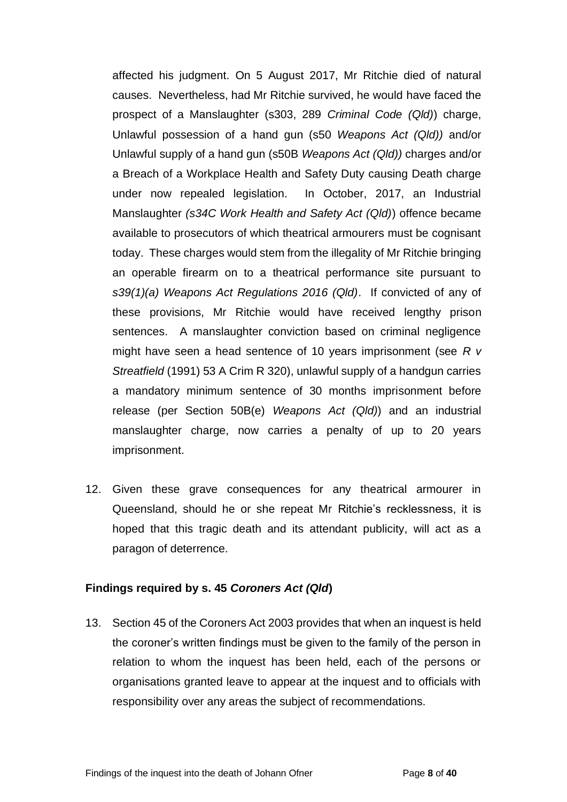affected his judgment. On 5 August 2017, Mr Ritchie died of natural causes. Nevertheless, had Mr Ritchie survived, he would have faced the prospect of a Manslaughter (s303, 289 *Criminal Code (Qld)*) charge, Unlawful possession of a hand gun (s50 *Weapons Act (Qld))* and/or Unlawful supply of a hand gun (s50B *Weapons Act (Qld))* charges and/or a Breach of a Workplace Health and Safety Duty causing Death charge under now repealed legislation. In October, 2017, an Industrial Manslaughter *(s34C Work Health and Safety Act (Qld)*) offence became available to prosecutors of which theatrical armourers must be cognisant today. These charges would stem from the illegality of Mr Ritchie bringing an operable firearm on to a theatrical performance site pursuant to *s39(1)(a) Weapons Act Regulations 2016 (Qld)*. If convicted of any of these provisions, Mr Ritchie would have received lengthy prison sentences. A manslaughter conviction based on criminal negligence might have seen a head sentence of 10 years imprisonment (see *R v Streatfield* (1991) 53 A Crim R 320), unlawful supply of a handgun carries a mandatory minimum sentence of 30 months imprisonment before release (per Section 50B(e) *Weapons Act (Qld)*) and an industrial manslaughter charge, now carries a penalty of up to 20 years imprisonment.

12. Given these grave consequences for any theatrical armourer in Queensland, should he or she repeat Mr Ritchie's recklessness, it is hoped that this tragic death and its attendant publicity, will act as a paragon of deterrence.

#### <span id="page-7-0"></span>**Findings required by s. 45** *Coroners Act (Qld***)**

13. Section 45 of the Coroners Act 2003 provides that when an inquest is held the coroner's written findings must be given to the family of the person in relation to whom the inquest has been held, each of the persons or organisations granted leave to appear at the inquest and to officials with responsibility over any areas the subject of recommendations.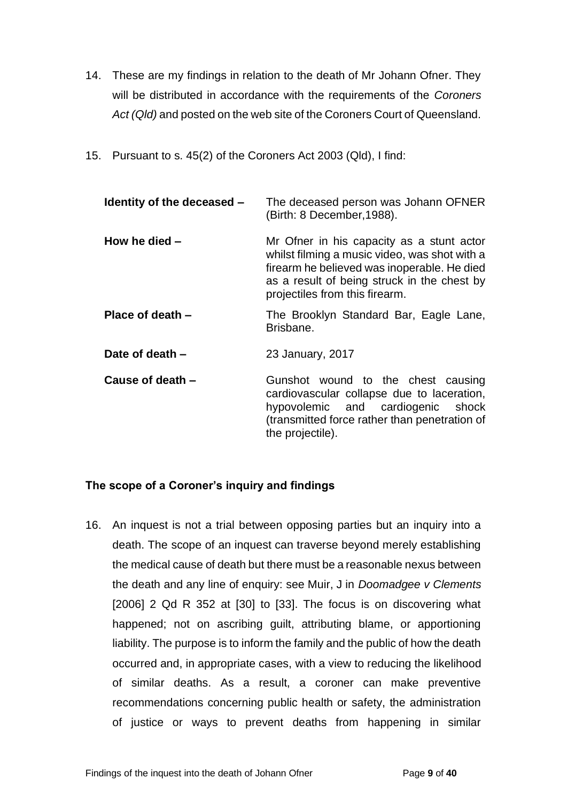- 14. These are my findings in relation to the death of Mr Johann Ofner. They will be distributed in accordance with the requirements of the *Coroners Act (Qld)* and posted on the web site of the Coroners Court of Queensland.
- 15. Pursuant to s. 45(2) of the Coroners Act 2003 (Qld), I find:

| Identity of the deceased - | The deceased person was Johann OFNER<br>(Birth: 8 December, 1988).                                                                                                                                                         |
|----------------------------|----------------------------------------------------------------------------------------------------------------------------------------------------------------------------------------------------------------------------|
| How he died $-$            | Mr Ofner in his capacity as a stunt actor<br>whilst filming a music video, was shot with a<br>firearm he believed was inoperable. He died<br>as a result of being struck in the chest by<br>projectiles from this firearm. |
| Place of death -           | The Brooklyn Standard Bar, Eagle Lane,<br>Brisbane.                                                                                                                                                                        |
| Date of death –            | 23 January, 2017                                                                                                                                                                                                           |
| Cause of death -           | Gunshot wound to the chest causing<br>cardiovascular collapse due to laceration,<br>hypovolemic and cardiogenic shock<br>(transmitted force rather than penetration of<br>the projectile).                                 |

# <span id="page-8-0"></span>**The scope of a Coroner's inquiry and findings**

16. An inquest is not a trial between opposing parties but an inquiry into a death. The scope of an inquest can traverse beyond merely establishing the medical cause of death but there must be a reasonable nexus between the death and any line of enquiry: see Muir, J in *Doomadgee v Clements* [2006] 2 Qd R 352 at [30] to [33]. The focus is on discovering what happened; not on ascribing guilt, attributing blame, or apportioning liability. The purpose is to inform the family and the public of how the death occurred and, in appropriate cases, with a view to reducing the likelihood of similar deaths. As a result, a coroner can make preventive recommendations concerning public health or safety, the administration of justice or ways to prevent deaths from happening in similar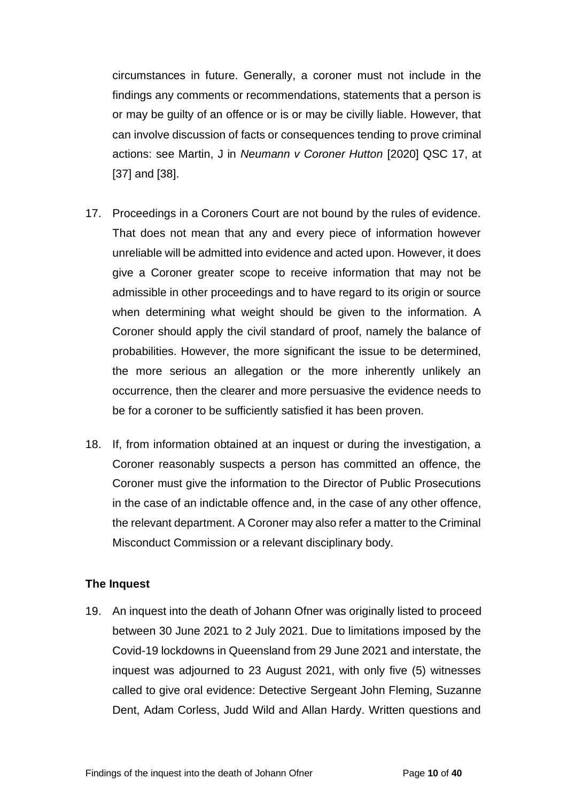circumstances in future. Generally, a coroner must not include in the findings any comments or recommendations, statements that a person is or may be guilty of an offence or is or may be civilly liable. However, that can involve discussion of facts or consequences tending to prove criminal actions: see Martin, J in *Neumann v Coroner Hutton* [2020] QSC 17, at [37] and [38].

- 17. Proceedings in a Coroners Court are not bound by the rules of evidence. That does not mean that any and every piece of information however unreliable will be admitted into evidence and acted upon. However, it does give a Coroner greater scope to receive information that may not be admissible in other proceedings and to have regard to its origin or source when determining what weight should be given to the information. A Coroner should apply the civil standard of proof, namely the balance of probabilities. However, the more significant the issue to be determined, the more serious an allegation or the more inherently unlikely an occurrence, then the clearer and more persuasive the evidence needs to be for a coroner to be sufficiently satisfied it has been proven.
- 18. If, from information obtained at an inquest or during the investigation, a Coroner reasonably suspects a person has committed an offence, the Coroner must give the information to the Director of Public Prosecutions in the case of an indictable offence and, in the case of any other offence, the relevant department. A Coroner may also refer a matter to the Criminal Misconduct Commission or a relevant disciplinary body.

#### <span id="page-9-0"></span>**The Inquest**

19. An inquest into the death of Johann Ofner was originally listed to proceed between 30 June 2021 to 2 July 2021. Due to limitations imposed by the Covid-19 lockdowns in Queensland from 29 June 2021 and interstate, the inquest was adjourned to 23 August 2021, with only five (5) witnesses called to give oral evidence: Detective Sergeant John Fleming, Suzanne Dent, Adam Corless, Judd Wild and Allan Hardy. Written questions and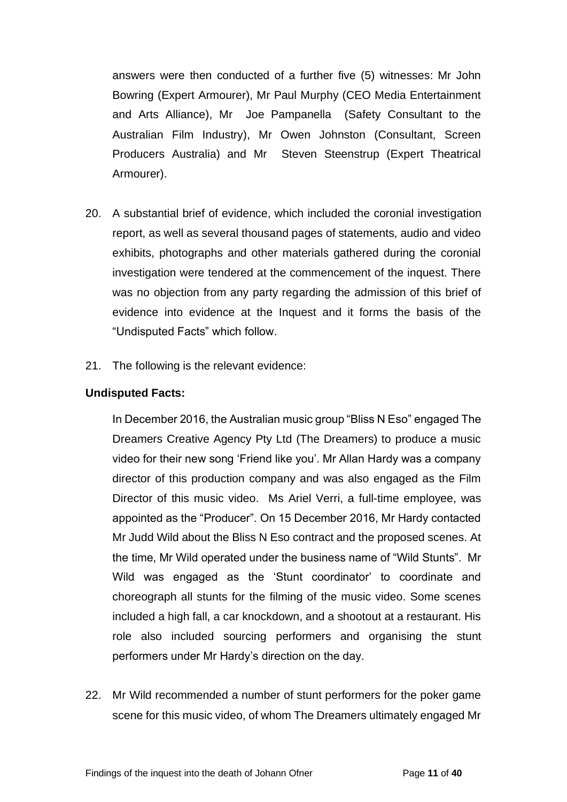answers were then conducted of a further five (5) witnesses: Mr John Bowring (Expert Armourer), Mr Paul Murphy (CEO Media Entertainment and Arts Alliance), Mr Joe Pampanella (Safety Consultant to the Australian Film Industry), Mr Owen Johnston (Consultant, Screen Producers Australia) and Mr Steven Steenstrup (Expert Theatrical Armourer).

- 20. A substantial brief of evidence, which included the coronial investigation report, as well as several thousand pages of statements, audio and video exhibits, photographs and other materials gathered during the coronial investigation were tendered at the commencement of the inquest. There was no objection from any party regarding the admission of this brief of evidence into evidence at the Inquest and it forms the basis of the "Undisputed Facts" which follow.
- 21. The following is the relevant evidence:

### <span id="page-10-0"></span>**Undisputed Facts:**

In December 2016, the Australian music group "Bliss N Eso" engaged The Dreamers Creative Agency Pty Ltd (The Dreamers) to produce a music video for their new song 'Friend like you'. Mr Allan Hardy was a company director of this production company and was also engaged as the Film Director of this music video. Ms Ariel Verri, a full-time employee, was appointed as the "Producer". On 15 December 2016, Mr Hardy contacted Mr Judd Wild about the Bliss N Eso contract and the proposed scenes. At the time, Mr Wild operated under the business name of "Wild Stunts". Mr Wild was engaged as the 'Stunt coordinator' to coordinate and choreograph all stunts for the filming of the music video. Some scenes included a high fall, a car knockdown, and a shootout at a restaurant. His role also included sourcing performers and organising the stunt performers under Mr Hardy's direction on the day.

22. Mr Wild recommended a number of stunt performers for the poker game scene for this music video, of whom The Dreamers ultimately engaged Mr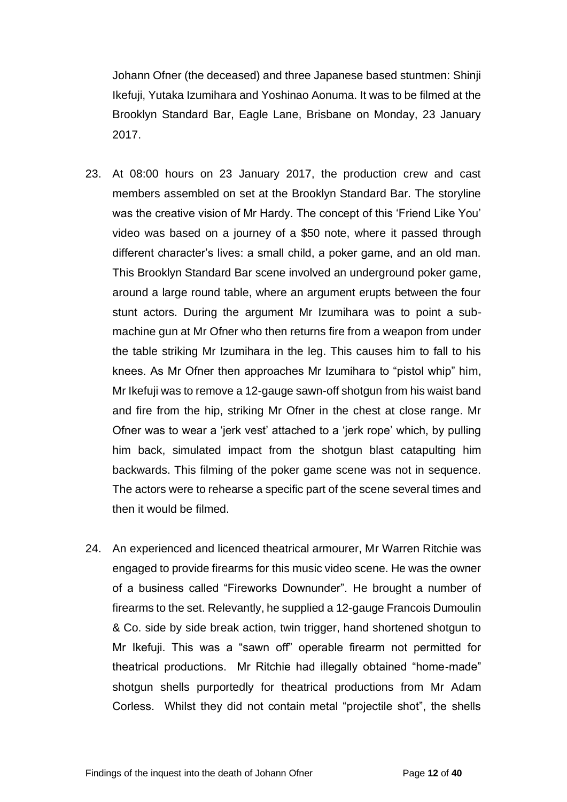Johann Ofner (the deceased) and three Japanese based stuntmen: Shinji Ikefuji, Yutaka Izumihara and Yoshinao Aonuma. It was to be filmed at the Brooklyn Standard Bar, Eagle Lane, Brisbane on Monday, 23 January 2017.

- 23. At 08:00 hours on 23 January 2017, the production crew and cast members assembled on set at the Brooklyn Standard Bar. The storyline was the creative vision of Mr Hardy. The concept of this 'Friend Like You' video was based on a journey of a \$50 note, where it passed through different character's lives: a small child, a poker game, and an old man. This Brooklyn Standard Bar scene involved an underground poker game, around a large round table, where an argument erupts between the four stunt actors. During the argument Mr Izumihara was to point a submachine gun at Mr Ofner who then returns fire from a weapon from under the table striking Mr Izumihara in the leg. This causes him to fall to his knees. As Mr Ofner then approaches Mr Izumihara to "pistol whip" him, Mr Ikefuji was to remove a 12-gauge sawn-off shotgun from his waist band and fire from the hip, striking Mr Ofner in the chest at close range. Mr Ofner was to wear a 'jerk vest' attached to a 'jerk rope' which, by pulling him back, simulated impact from the shotgun blast catapulting him backwards. This filming of the poker game scene was not in sequence. The actors were to rehearse a specific part of the scene several times and then it would be filmed.
- 24. An experienced and licenced theatrical armourer, Mr Warren Ritchie was engaged to provide firearms for this music video scene. He was the owner of a business called "Fireworks Downunder". He brought a number of firearms to the set. Relevantly, he supplied a 12-gauge Francois Dumoulin & Co. side by side break action, twin trigger, hand shortened shotgun to Mr Ikefuji. This was a "sawn off" operable firearm not permitted for theatrical productions. Mr Ritchie had illegally obtained "home-made" shotgun shells purportedly for theatrical productions from Mr Adam Corless. Whilst they did not contain metal "projectile shot", the shells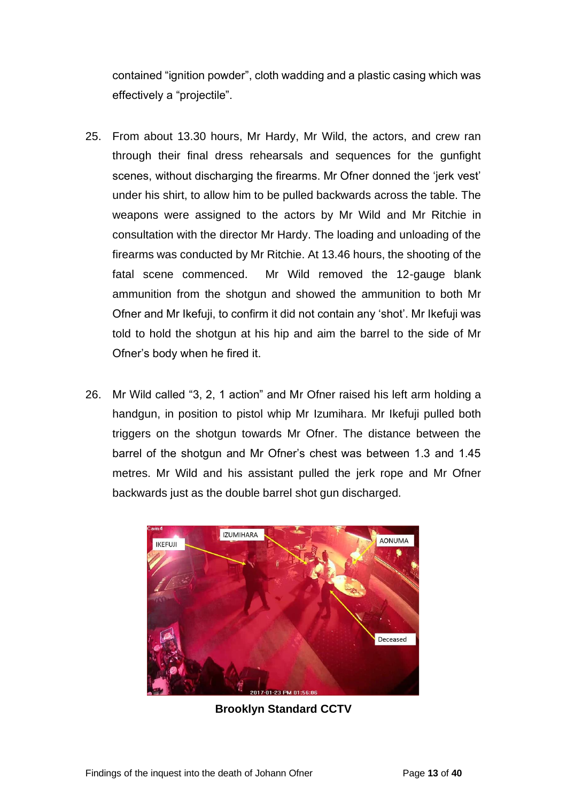contained "ignition powder", cloth wadding and a plastic casing which was effectively a "projectile".

- 25. From about 13.30 hours, Mr Hardy, Mr Wild, the actors, and crew ran through their final dress rehearsals and sequences for the gunfight scenes, without discharging the firearms. Mr Ofner donned the 'jerk vest' under his shirt, to allow him to be pulled backwards across the table. The weapons were assigned to the actors by Mr Wild and Mr Ritchie in consultation with the director Mr Hardy. The loading and unloading of the firearms was conducted by Mr Ritchie. At 13.46 hours, the shooting of the fatal scene commenced. Mr Wild removed the 12-gauge blank ammunition from the shotgun and showed the ammunition to both Mr Ofner and Mr Ikefuji, to confirm it did not contain any 'shot'. Mr Ikefuji was told to hold the shotgun at his hip and aim the barrel to the side of Mr Ofner's body when he fired it.
- 26. Mr Wild called "3, 2, 1 action" and Mr Ofner raised his left arm holding a handgun, in position to pistol whip Mr Izumihara. Mr Ikefuji pulled both triggers on the shotgun towards Mr Ofner. The distance between the barrel of the shotgun and Mr Ofner's chest was between 1.3 and 1.45 metres. Mr Wild and his assistant pulled the jerk rope and Mr Ofner backwards just as the double barrel shot gun discharged.



**Brooklyn Standard CCTV**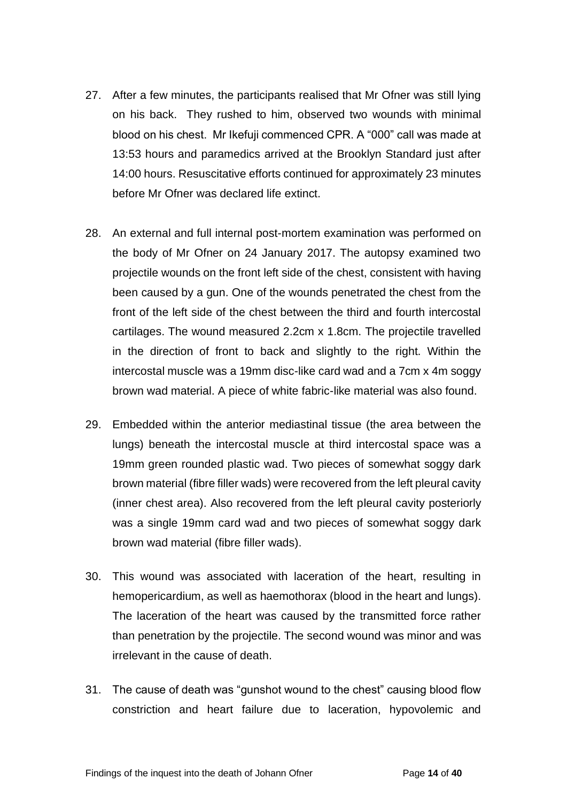- 27. After a few minutes, the participants realised that Mr Ofner was still lying on his back. They rushed to him, observed two wounds with minimal blood on his chest. Mr Ikefuji commenced CPR. A "000" call was made at 13:53 hours and paramedics arrived at the Brooklyn Standard just after 14:00 hours. Resuscitative efforts continued for approximately 23 minutes before Mr Ofner was declared life extinct.
- 28. An external and full internal post-mortem examination was performed on the body of Mr Ofner on 24 January 2017. The autopsy examined two projectile wounds on the front left side of the chest, consistent with having been caused by a gun. One of the wounds penetrated the chest from the front of the left side of the chest between the third and fourth intercostal cartilages. The wound measured 2.2cm x 1.8cm. The projectile travelled in the direction of front to back and slightly to the right. Within the intercostal muscle was a 19mm disc-like card wad and a 7cm x 4m soggy brown wad material. A piece of white fabric-like material was also found.
- 29. Embedded within the anterior mediastinal tissue (the area between the lungs) beneath the intercostal muscle at third intercostal space was a 19mm green rounded plastic wad. Two pieces of somewhat soggy dark brown material (fibre filler wads) were recovered from the left pleural cavity (inner chest area). Also recovered from the left pleural cavity posteriorly was a single 19mm card wad and two pieces of somewhat soggy dark brown wad material (fibre filler wads).
- 30. This wound was associated with laceration of the heart, resulting in hemopericardium, as well as haemothorax (blood in the heart and lungs). The laceration of the heart was caused by the transmitted force rather than penetration by the projectile. The second wound was minor and was irrelevant in the cause of death.
- 31. The cause of death was "gunshot wound to the chest" causing blood flow constriction and heart failure due to laceration, hypovolemic and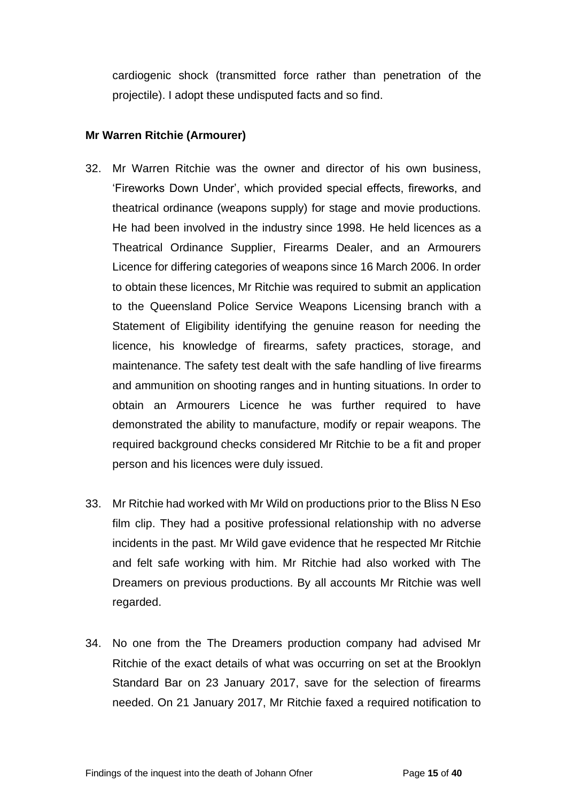cardiogenic shock (transmitted force rather than penetration of the projectile). I adopt these undisputed facts and so find.

# <span id="page-14-0"></span>**Mr Warren Ritchie (Armourer)**

- 32. Mr Warren Ritchie was the owner and director of his own business, 'Fireworks Down Under', which provided special effects, fireworks, and theatrical ordinance (weapons supply) for stage and movie productions. He had been involved in the industry since 1998. He held licences as a Theatrical Ordinance Supplier, Firearms Dealer, and an Armourers Licence for differing categories of weapons since 16 March 2006. In order to obtain these licences, Mr Ritchie was required to submit an application to the Queensland Police Service Weapons Licensing branch with a Statement of Eligibility identifying the genuine reason for needing the licence, his knowledge of firearms, safety practices, storage, and maintenance. The safety test dealt with the safe handling of live firearms and ammunition on shooting ranges and in hunting situations. In order to obtain an Armourers Licence he was further required to have demonstrated the ability to manufacture, modify or repair weapons. The required background checks considered Mr Ritchie to be a fit and proper person and his licences were duly issued.
- 33. Mr Ritchie had worked with Mr Wild on productions prior to the Bliss N Eso film clip. They had a positive professional relationship with no adverse incidents in the past. Mr Wild gave evidence that he respected Mr Ritchie and felt safe working with him. Mr Ritchie had also worked with The Dreamers on previous productions. By all accounts Mr Ritchie was well regarded.
- 34. No one from the The Dreamers production company had advised Mr Ritchie of the exact details of what was occurring on set at the Brooklyn Standard Bar on 23 January 2017, save for the selection of firearms needed. On 21 January 2017, Mr Ritchie faxed a required notification to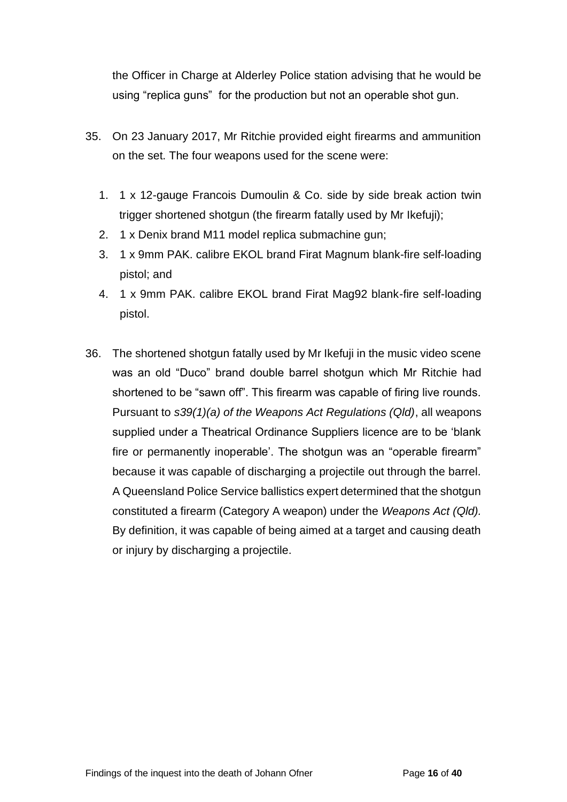the Officer in Charge at Alderley Police station advising that he would be using "replica guns" for the production but not an operable shot gun.

- 35. On 23 January 2017, Mr Ritchie provided eight firearms and ammunition on the set. The four weapons used for the scene were:
	- 1. 1 x 12-gauge Francois Dumoulin & Co. side by side break action twin trigger shortened shotgun (the firearm fatally used by Mr Ikefuji);
	- 2. 1 x Denix brand M11 model replica submachine gun;
	- 3. 1 x 9mm PAK. calibre EKOL brand Firat Magnum blank-fire self-loading pistol; and
	- 4. 1 x 9mm PAK. calibre EKOL brand Firat Mag92 blank-fire self-loading pistol.
- 36. The shortened shotgun fatally used by Mr Ikefuji in the music video scene was an old "Duco" brand double barrel shotgun which Mr Ritchie had shortened to be "sawn off". This firearm was capable of firing live rounds. Pursuant to *s39(1)(a) of the Weapons Act Regulations (Qld)*, all weapons supplied under a Theatrical Ordinance Suppliers licence are to be 'blank fire or permanently inoperable'. The shotgun was an "operable firearm" because it was capable of discharging a projectile out through the barrel. A Queensland Police Service ballistics expert determined that the shotgun constituted a firearm (Category A weapon) under the *Weapons Act (Qld).*  By definition, it was capable of being aimed at a target and causing death or injury by discharging a projectile.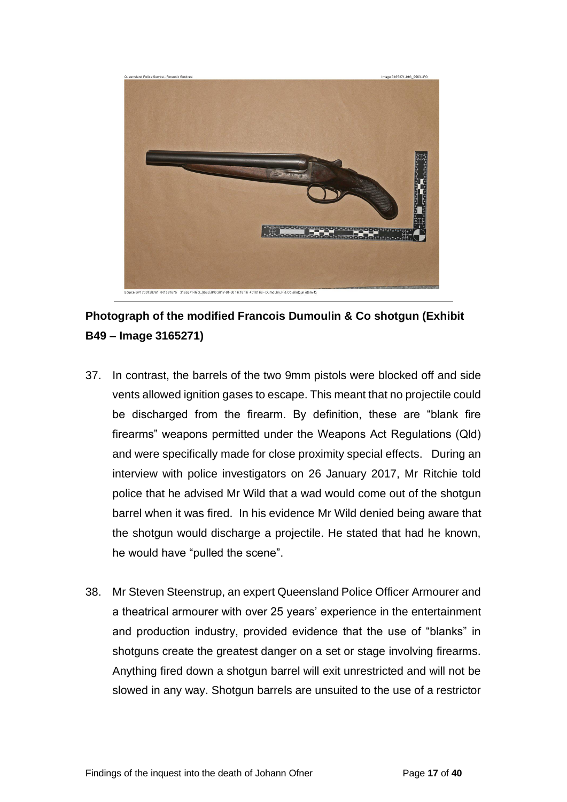

**Photograph of the modified Francois Dumoulin & Co shotgun (Exhibit B49 – Image 3165271)**

- 37. In contrast, the barrels of the two 9mm pistols were blocked off and side vents allowed ignition gases to escape. This meant that no projectile could be discharged from the firearm. By definition, these are "blank fire firearms" weapons permitted under the Weapons Act Regulations (Qld) and were specifically made for close proximity special effects. During an interview with police investigators on 26 January 2017, Mr Ritchie told police that he advised Mr Wild that a wad would come out of the shotgun barrel when it was fired. In his evidence Mr Wild denied being aware that the shotgun would discharge a projectile. He stated that had he known, he would have "pulled the scene".
- 38. Mr Steven Steenstrup, an expert Queensland Police Officer Armourer and a theatrical armourer with over 25 years' experience in the entertainment and production industry, provided evidence that the use of "blanks" in shotguns create the greatest danger on a set or stage involving firearms. Anything fired down a shotgun barrel will exit unrestricted and will not be slowed in any way. Shotgun barrels are unsuited to the use of a restrictor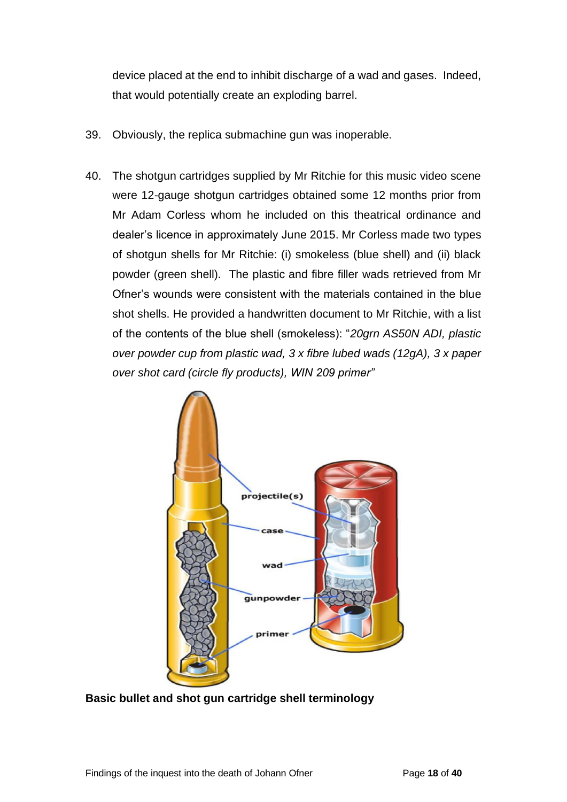device placed at the end to inhibit discharge of a wad and gases. Indeed, that would potentially create an exploding barrel.

- 39. Obviously, the replica submachine gun was inoperable.
- 40. The shotgun cartridges supplied by Mr Ritchie for this music video scene were 12-gauge shotgun cartridges obtained some 12 months prior from Mr Adam Corless whom he included on this theatrical ordinance and dealer's licence in approximately June 2015. Mr Corless made two types of shotgun shells for Mr Ritchie: (i) smokeless (blue shell) and (ii) black powder (green shell). The plastic and fibre filler wads retrieved from Mr Ofner's wounds were consistent with the materials contained in the blue shot shells. He provided a handwritten document to Mr Ritchie, with a list of the contents of the blue shell (smokeless): "*20grn AS50N ADI, plastic over powder cup from plastic wad, 3 x fibre lubed wads (12gA), 3 x paper over shot card (circle fly products), WIN 209 primer"*



**Basic bullet and shot gun cartridge shell terminology**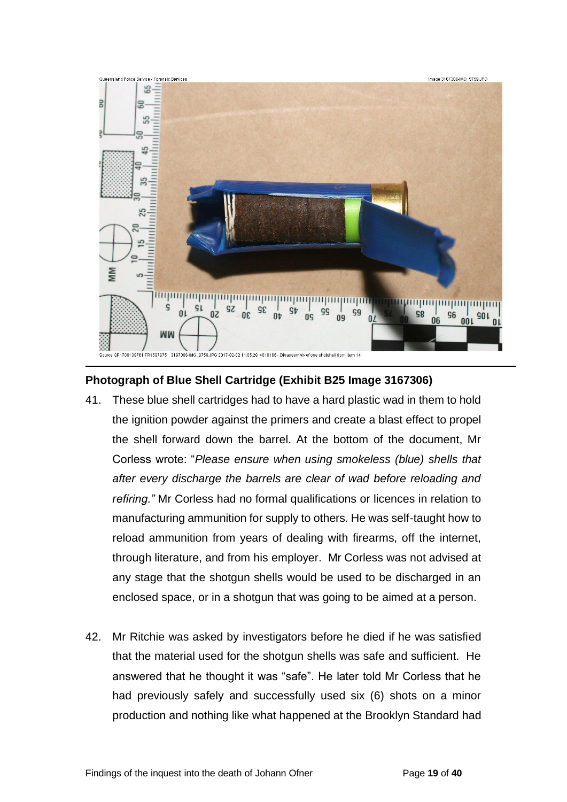

# **Photograph of Blue Shell Cartridge (Exhibit B25 Image 3167306)**

- 41. These blue shell cartridges had to have a hard plastic wad in them to hold the ignition powder against the primers and create a blast effect to propel the shell forward down the barrel. At the bottom of the document, Mr Corless wrote: "*Please ensure when using smokeless (blue) shells that after every discharge the barrels are clear of wad before reloading and refiring."* Mr Corless had no formal qualifications or licences in relation to manufacturing ammunition for supply to others. He was self-taught how to reload ammunition from years of dealing with firearms, off the internet, through literature, and from his employer. Mr Corless was not advised at any stage that the shotgun shells would be used to be discharged in an enclosed space, or in a shotgun that was going to be aimed at a person.
- 42. Mr Ritchie was asked by investigators before he died if he was satisfied that the material used for the shotgun shells was safe and sufficient. He answered that he thought it was "safe". He later told Mr Corless that he had previously safely and successfully used six (6) shots on a minor production and nothing like what happened at the Brooklyn Standard had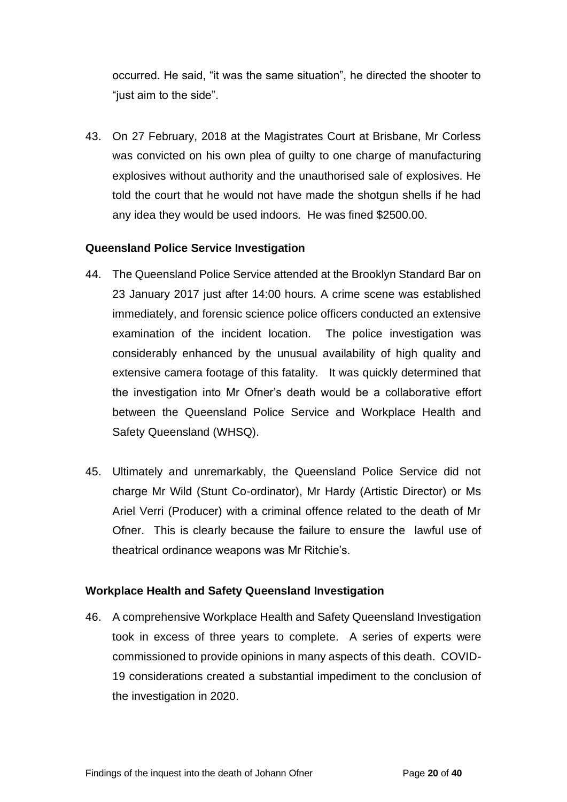occurred. He said, "it was the same situation", he directed the shooter to "just aim to the side".

43. On 27 February, 2018 at the Magistrates Court at Brisbane, Mr Corless was convicted on his own plea of guilty to one charge of manufacturing explosives without authority and the unauthorised sale of explosives. He told the court that he would not have made the shotgun shells if he had any idea they would be used indoors. He was fined \$2500.00.

### <span id="page-19-0"></span>**Queensland Police Service Investigation**

- 44. The Queensland Police Service attended at the Brooklyn Standard Bar on 23 January 2017 just after 14:00 hours. A crime scene was established immediately, and forensic science police officers conducted an extensive examination of the incident location. The police investigation was considerably enhanced by the unusual availability of high quality and extensive camera footage of this fatality. It was quickly determined that the investigation into Mr Ofner's death would be a collaborative effort between the Queensland Police Service and Workplace Health and Safety Queensland (WHSQ).
- 45. Ultimately and unremarkably, the Queensland Police Service did not charge Mr Wild (Stunt Co-ordinator), Mr Hardy (Artistic Director) or Ms Ariel Verri (Producer) with a criminal offence related to the death of Mr Ofner. This is clearly because the failure to ensure the lawful use of theatrical ordinance weapons was Mr Ritchie's.

# <span id="page-19-1"></span>**Workplace Health and Safety Queensland Investigation**

46. A comprehensive Workplace Health and Safety Queensland Investigation took in excess of three years to complete. A series of experts were commissioned to provide opinions in many aspects of this death. COVID-19 considerations created a substantial impediment to the conclusion of the investigation in 2020.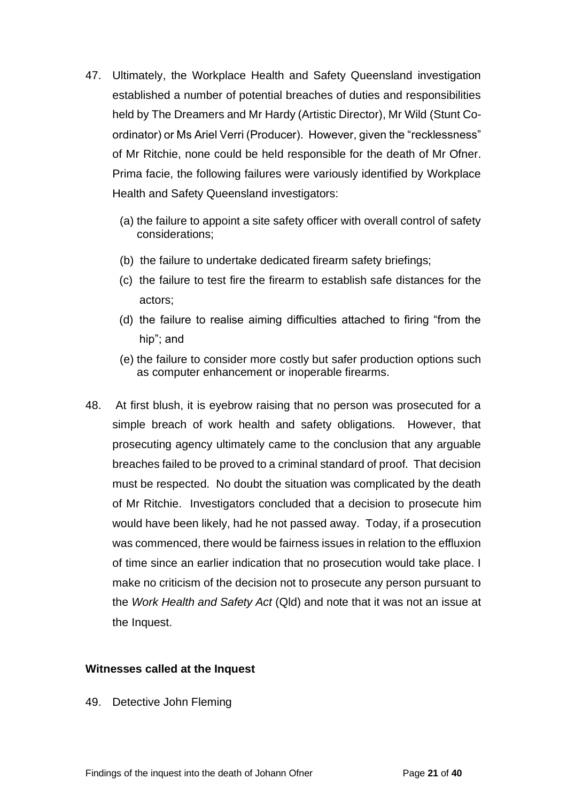- 47. Ultimately, the Workplace Health and Safety Queensland investigation established a number of potential breaches of duties and responsibilities held by The Dreamers and Mr Hardy (Artistic Director), Mr Wild (Stunt Coordinator) or Ms Ariel Verri (Producer). However, given the "recklessness" of Mr Ritchie, none could be held responsible for the death of Mr Ofner. Prima facie, the following failures were variously identified by Workplace Health and Safety Queensland investigators:
	- (a) the failure to appoint a site safety officer with overall control of safety considerations;
	- (b) the failure to undertake dedicated firearm safety briefings;
	- (c) the failure to test fire the firearm to establish safe distances for the actors;
	- (d) the failure to realise aiming difficulties attached to firing "from the hip"; and
	- (e) the failure to consider more costly but safer production options such as computer enhancement or inoperable firearms.
- 48. At first blush, it is eyebrow raising that no person was prosecuted for a simple breach of work health and safety obligations. However, that prosecuting agency ultimately came to the conclusion that any arguable breaches failed to be proved to a criminal standard of proof. That decision must be respected. No doubt the situation was complicated by the death of Mr Ritchie. Investigators concluded that a decision to prosecute him would have been likely, had he not passed away. Today, if a prosecution was commenced, there would be fairness issues in relation to the effluxion of time since an earlier indication that no prosecution would take place. I make no criticism of the decision not to prosecute any person pursuant to the *Work Health and Safety Act* (Qld) and note that it was not an issue at the Inquest.

#### <span id="page-20-0"></span>**Witnesses called at the Inquest**

49. Detective John Fleming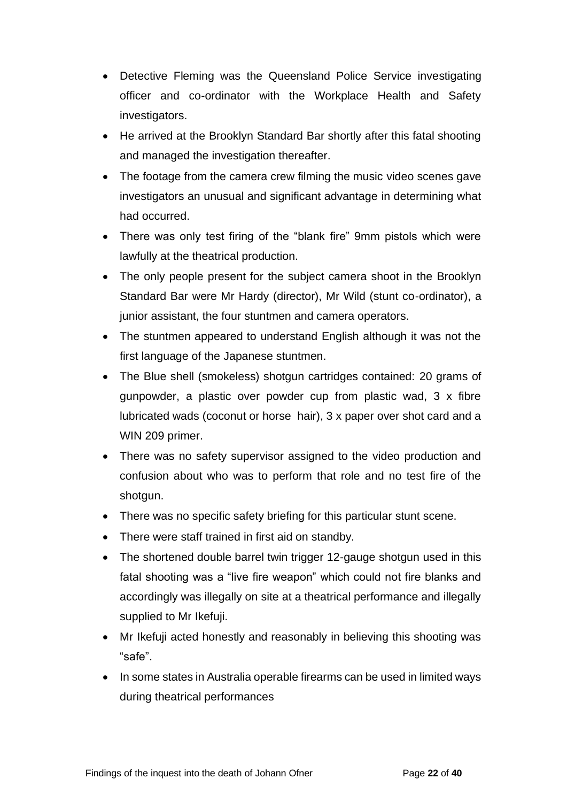- Detective Fleming was the Queensland Police Service investigating officer and co-ordinator with the Workplace Health and Safety investigators.
- He arrived at the Brooklyn Standard Bar shortly after this fatal shooting and managed the investigation thereafter.
- The footage from the camera crew filming the music video scenes gave investigators an unusual and significant advantage in determining what had occurred.
- There was only test firing of the "blank fire" 9mm pistols which were lawfully at the theatrical production.
- The only people present for the subject camera shoot in the Brooklyn Standard Bar were Mr Hardy (director), Mr Wild (stunt co-ordinator), a junior assistant, the four stuntmen and camera operators.
- The stuntmen appeared to understand English although it was not the first language of the Japanese stuntmen.
- The Blue shell (smokeless) shotgun cartridges contained: 20 grams of gunpowder, a plastic over powder cup from plastic wad, 3 x fibre lubricated wads (coconut or horse hair), 3 x paper over shot card and a WIN 209 primer.
- There was no safety supervisor assigned to the video production and confusion about who was to perform that role and no test fire of the shotgun.
- There was no specific safety briefing for this particular stunt scene.
- There were staff trained in first aid on standby.
- The shortened double barrel twin trigger 12-gauge shotgun used in this fatal shooting was a "live fire weapon" which could not fire blanks and accordingly was illegally on site at a theatrical performance and illegally supplied to Mr Ikefuji.
- Mr Ikefuji acted honestly and reasonably in believing this shooting was "safe".
- In some states in Australia operable firearms can be used in limited ways during theatrical performances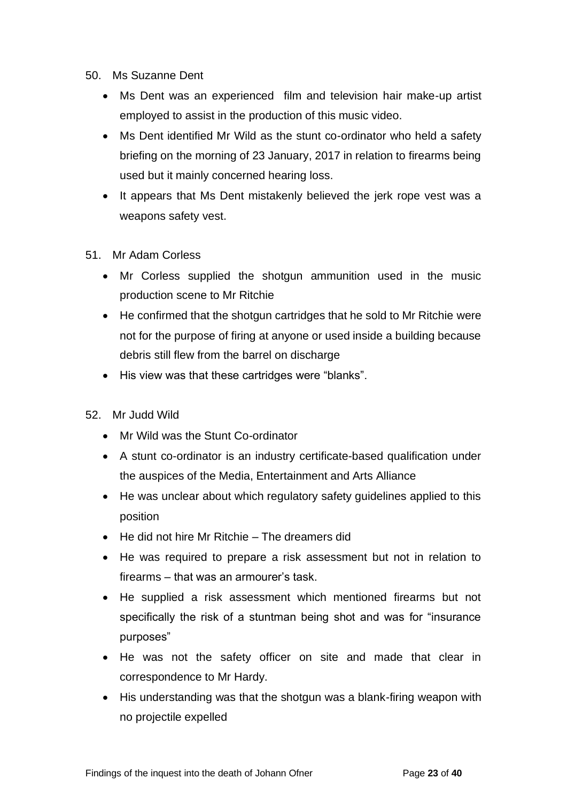- 50. Ms Suzanne Dent
	- Ms Dent was an experienced film and television hair make-up artist employed to assist in the production of this music video.
	- Ms Dent identified Mr Wild as the stunt co-ordinator who held a safety briefing on the morning of 23 January, 2017 in relation to firearms being used but it mainly concerned hearing loss.
	- It appears that Ms Dent mistakenly believed the jerk rope vest was a weapons safety vest.
- 51. Mr Adam Corless
	- Mr Corless supplied the shotgun ammunition used in the music production scene to Mr Ritchie
	- He confirmed that the shotgun cartridges that he sold to Mr Ritchie were not for the purpose of firing at anyone or used inside a building because debris still flew from the barrel on discharge
	- His view was that these cartridges were "blanks".
- 52. Mr Judd Wild
	- Mr Wild was the Stunt Co-ordinator
	- A stunt co-ordinator is an industry certificate-based qualification under the auspices of the Media, Entertainment and Arts Alliance
	- He was unclear about which regulatory safety guidelines applied to this position
	- He did not hire Mr Ritchie The dreamers did
	- He was required to prepare a risk assessment but not in relation to firearms – that was an armourer's task.
	- He supplied a risk assessment which mentioned firearms but not specifically the risk of a stuntman being shot and was for "insurance purposes"
	- He was not the safety officer on site and made that clear in correspondence to Mr Hardy.
	- His understanding was that the shotgun was a blank-firing weapon with no projectile expelled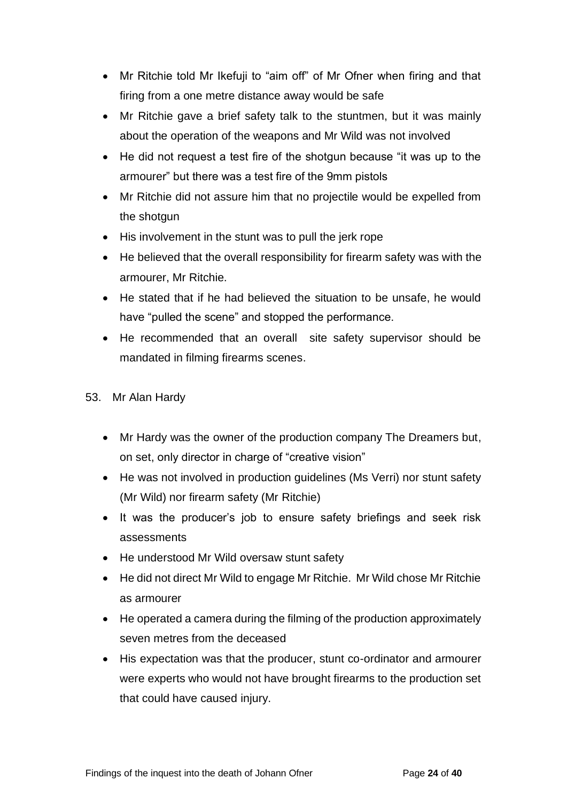- Mr Ritchie told Mr Ikefuji to "aim off" of Mr Ofner when firing and that firing from a one metre distance away would be safe
- Mr Ritchie gave a brief safety talk to the stuntmen, but it was mainly about the operation of the weapons and Mr Wild was not involved
- He did not request a test fire of the shotgun because "it was up to the armourer" but there was a test fire of the 9mm pistols
- Mr Ritchie did not assure him that no projectile would be expelled from the shotgun
- His involvement in the stunt was to pull the jerk rope
- He believed that the overall responsibility for firearm safety was with the armourer, Mr Ritchie.
- He stated that if he had believed the situation to be unsafe, he would have "pulled the scene" and stopped the performance.
- He recommended that an overall site safety supervisor should be mandated in filming firearms scenes.
- 53. Mr Alan Hardy
	- Mr Hardy was the owner of the production company The Dreamers but, on set, only director in charge of "creative vision"
	- He was not involved in production quidelines (Ms Verri) nor stunt safety (Mr Wild) nor firearm safety (Mr Ritchie)
	- It was the producer's job to ensure safety briefings and seek risk assessments
	- He understood Mr Wild oversaw stunt safety
	- He did not direct Mr Wild to engage Mr Ritchie. Mr Wild chose Mr Ritchie as armourer
	- He operated a camera during the filming of the production approximately seven metres from the deceased
	- His expectation was that the producer, stunt co-ordinator and armourer were experts who would not have brought firearms to the production set that could have caused injury.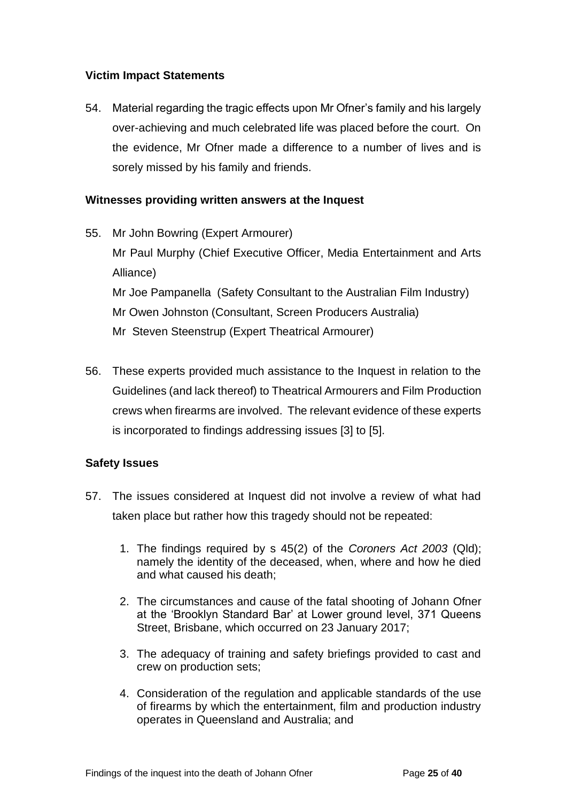# <span id="page-24-0"></span>**Victim Impact Statements**

54. Material regarding the tragic effects upon Mr Ofner's family and his largely over-achieving and much celebrated life was placed before the court. On the evidence, Mr Ofner made a difference to a number of lives and is sorely missed by his family and friends.

# <span id="page-24-1"></span>**Witnesses providing written answers at the Inquest**

- 55. Mr John Bowring (Expert Armourer) Mr Paul Murphy (Chief Executive Officer, Media Entertainment and Arts Alliance) Mr Joe Pampanella (Safety Consultant to the Australian Film Industry) Mr Owen Johnston (Consultant, Screen Producers Australia) Mr Steven Steenstrup (Expert Theatrical Armourer)
- 56. These experts provided much assistance to the Inquest in relation to the Guidelines (and lack thereof) to Theatrical Armourers and Film Production crews when firearms are involved. The relevant evidence of these experts is incorporated to findings addressing issues [3] to [5].

# <span id="page-24-2"></span>**Safety Issues**

- 57. The issues considered at Inquest did not involve a review of what had taken place but rather how this tragedy should not be repeated:
	- 1. The findings required by s 45(2) of the *Coroners Act 2003* (Qld); namely the identity of the deceased, when, where and how he died and what caused his death;
	- 2. The circumstances and cause of the fatal shooting of Johann Ofner at the 'Brooklyn Standard Bar' at Lower ground level, 371 Queens Street, Brisbane, which occurred on 23 January 2017;
	- 3. The adequacy of training and safety briefings provided to cast and crew on production sets;
	- 4. Consideration of the regulation and applicable standards of the use of firearms by which the entertainment, film and production industry operates in Queensland and Australia; and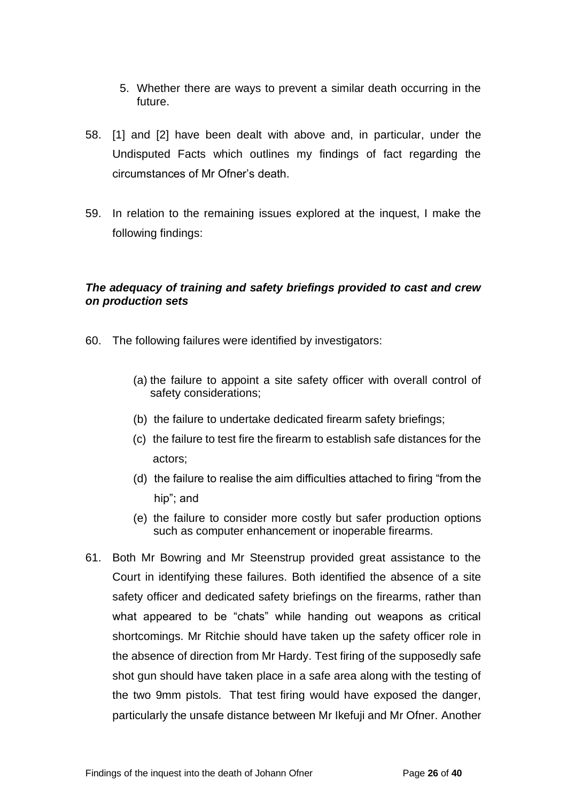- 5. Whether there are ways to prevent a similar death occurring in the future.
- 58. [1] and [2] have been dealt with above and, in particular, under the Undisputed Facts which outlines my findings of fact regarding the circumstances of Mr Ofner's death.
- 59. In relation to the remaining issues explored at the inquest, I make the following findings:

# <span id="page-25-0"></span>*The adequacy of training and safety briefings provided to cast and crew on production sets*

- 60. The following failures were identified by investigators:
	- (a) the failure to appoint a site safety officer with overall control of safety considerations;
	- (b) the failure to undertake dedicated firearm safety briefings;
	- (c) the failure to test fire the firearm to establish safe distances for the actors;
	- (d) the failure to realise the aim difficulties attached to firing "from the hip"; and
	- (e) the failure to consider more costly but safer production options such as computer enhancement or inoperable firearms.
- 61. Both Mr Bowring and Mr Steenstrup provided great assistance to the Court in identifying these failures. Both identified the absence of a site safety officer and dedicated safety briefings on the firearms, rather than what appeared to be "chats" while handing out weapons as critical shortcomings. Mr Ritchie should have taken up the safety officer role in the absence of direction from Mr Hardy. Test firing of the supposedly safe shot gun should have taken place in a safe area along with the testing of the two 9mm pistols. That test firing would have exposed the danger, particularly the unsafe distance between Mr Ikefuji and Mr Ofner. Another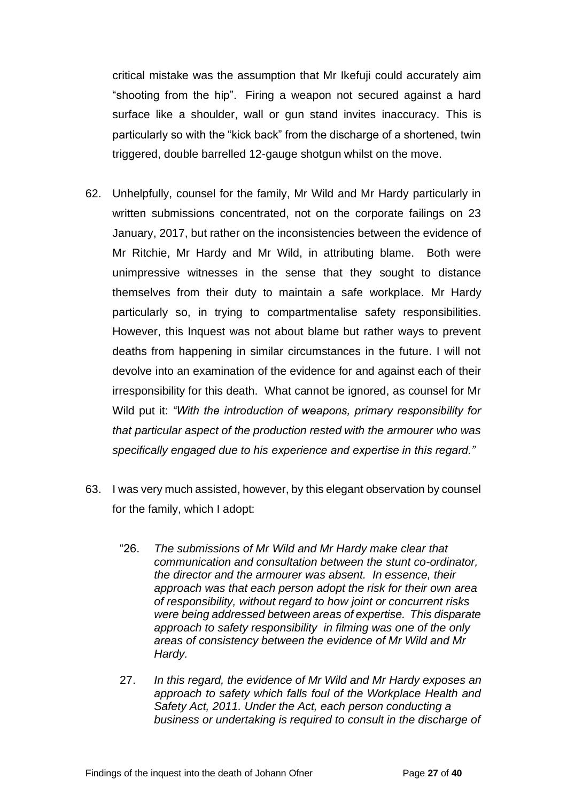critical mistake was the assumption that Mr Ikefuji could accurately aim "shooting from the hip". Firing a weapon not secured against a hard surface like a shoulder, wall or gun stand invites inaccuracy. This is particularly so with the "kick back" from the discharge of a shortened, twin triggered, double barrelled 12-gauge shotgun whilst on the move.

- 62. Unhelpfully, counsel for the family, Mr Wild and Mr Hardy particularly in written submissions concentrated, not on the corporate failings on 23 January, 2017, but rather on the inconsistencies between the evidence of Mr Ritchie, Mr Hardy and Mr Wild, in attributing blame. Both were unimpressive witnesses in the sense that they sought to distance themselves from their duty to maintain a safe workplace. Mr Hardy particularly so, in trying to compartmentalise safety responsibilities. However, this Inquest was not about blame but rather ways to prevent deaths from happening in similar circumstances in the future. I will not devolve into an examination of the evidence for and against each of their irresponsibility for this death. What cannot be ignored, as counsel for Mr Wild put it: *"With the introduction of weapons, primary responsibility for that particular aspect of the production rested with the armourer who was specifically engaged due to his experience and expertise in this regard."*
- 63. I was very much assisted, however, by this elegant observation by counsel for the family, which I adopt:
	- "26. *The submissions of Mr Wild and Mr Hardy make clear that communication and consultation between the stunt co-ordinator, the director and the armourer was absent. In essence, their approach was that each person adopt the risk for their own area of responsibility, without regard to how joint or concurrent risks were being addressed between areas of expertise. This disparate approach to safety responsibility in filming was one of the only areas of consistency between the evidence of Mr Wild and Mr Hardy.*
	- 27. *In this regard, the evidence of Mr Wild and Mr Hardy exposes an approach to safety which falls foul of the Workplace Health and Safety Act, 2011. Under the Act, each person conducting a business or undertaking is required to consult in the discharge of*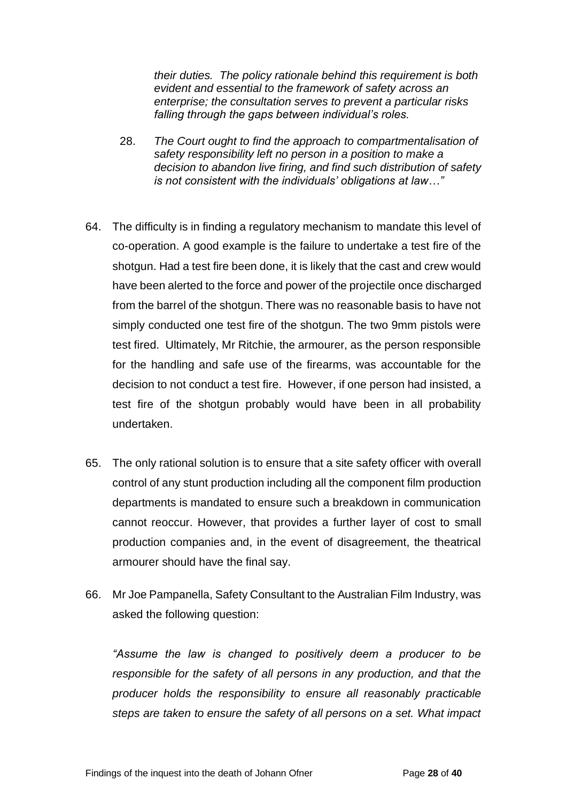*their duties. The policy rationale behind this requirement is both evident and essential to the framework of safety across an enterprise; the consultation serves to prevent a particular risks falling through the gaps between individual's roles.*

- 28. *The Court ought to find the approach to compartmentalisation of safety responsibility left no person in a position to make a decision to abandon live firing, and find such distribution of safety is not consistent with the individuals' obligations at law…"*
- 64. The difficulty is in finding a regulatory mechanism to mandate this level of co-operation. A good example is the failure to undertake a test fire of the shotgun. Had a test fire been done, it is likely that the cast and crew would have been alerted to the force and power of the projectile once discharged from the barrel of the shotgun. There was no reasonable basis to have not simply conducted one test fire of the shotgun. The two 9mm pistols were test fired. Ultimately, Mr Ritchie, the armourer, as the person responsible for the handling and safe use of the firearms, was accountable for the decision to not conduct a test fire. However, if one person had insisted, a test fire of the shotgun probably would have been in all probability undertaken.
- 65. The only rational solution is to ensure that a site safety officer with overall control of any stunt production including all the component film production departments is mandated to ensure such a breakdown in communication cannot reoccur. However, that provides a further layer of cost to small production companies and, in the event of disagreement, the theatrical armourer should have the final say.
- 66. Mr Joe Pampanella, Safety Consultant to the Australian Film Industry, was asked the following question:

*"Assume the law is changed to positively deem a producer to be responsible for the safety of all persons in any production, and that the producer holds the responsibility to ensure all reasonably practicable steps are taken to ensure the safety of all persons on a set. What impact*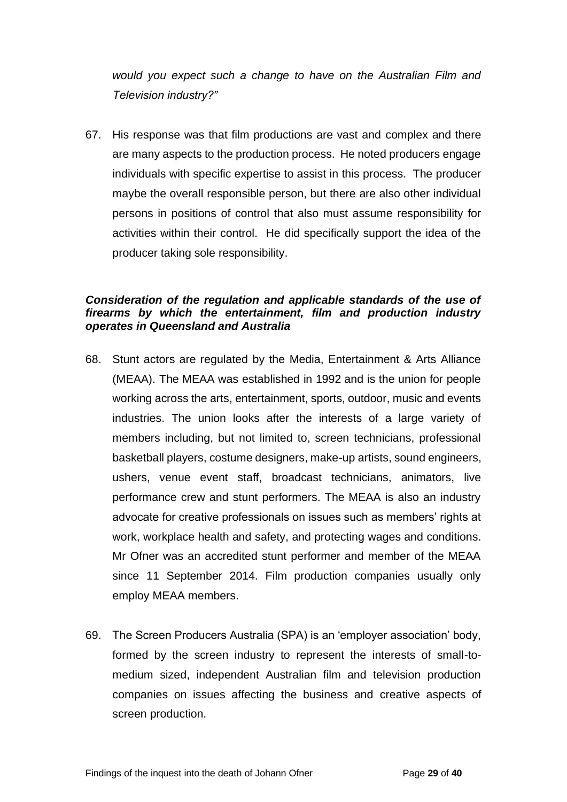*would you expect such a change to have on the Australian Film and Television industry?"* 

67. His response was that film productions are vast and complex and there are many aspects to the production process. He noted producers engage individuals with specific expertise to assist in this process. The producer maybe the overall responsible person, but there are also other individual persons in positions of control that also must assume responsibility for activities within their control. He did specifically support the idea of the producer taking sole responsibility.

#### <span id="page-28-0"></span>*Consideration of the regulation and applicable standards of the use of firearms by which the entertainment, film and production industry operates in Queensland and Australia*

- 68. Stunt actors are regulated by the Media, Entertainment & Arts Alliance (MEAA). The MEAA was established in 1992 and is the union for people working across the arts, entertainment, sports, outdoor, music and events industries. The union looks after the interests of a large variety of members including, but not limited to, screen technicians, professional basketball players, costume designers, make-up artists, sound engineers, ushers, venue event staff, broadcast technicians, animators, live performance crew and stunt performers. The MEAA is also an industry advocate for creative professionals on issues such as members' rights at work, workplace health and safety, and protecting wages and conditions. Mr Ofner was an accredited stunt performer and member of the MEAA since 11 September 2014. Film production companies usually only employ MEAA members.
- 69. The Screen Producers Australia (SPA) is an 'employer association' body, formed by the screen industry to represent the interests of small-tomedium sized, independent Australian film and television production companies on issues affecting the business and creative aspects of screen production.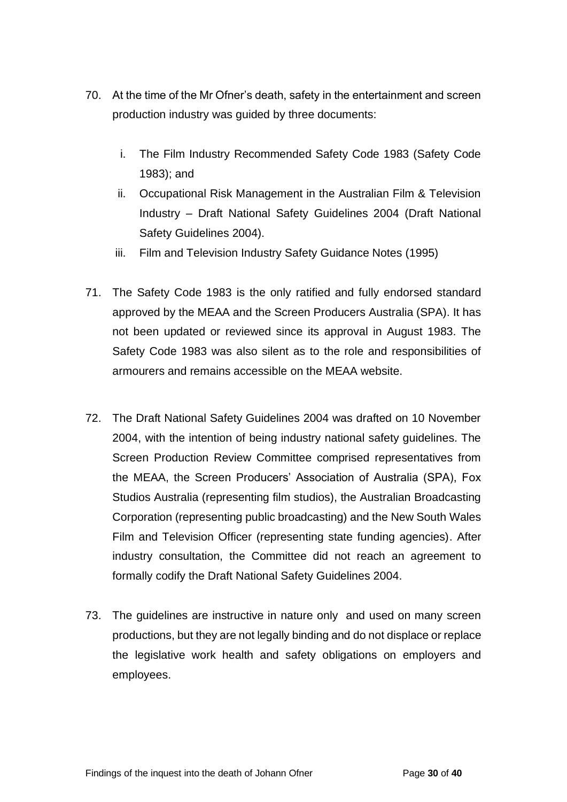- 70. At the time of the Mr Ofner's death, safety in the entertainment and screen production industry was guided by three documents:
	- i. The Film Industry Recommended Safety Code 1983 (Safety Code 1983); and
	- ii. Occupational Risk Management in the Australian Film & Television Industry – Draft National Safety Guidelines 2004 (Draft National Safety Guidelines 2004).
	- iii. Film and Television Industry Safety Guidance Notes (1995)
- 71. The Safety Code 1983 is the only ratified and fully endorsed standard approved by the MEAA and the Screen Producers Australia (SPA). It has not been updated or reviewed since its approval in August 1983. The Safety Code 1983 was also silent as to the role and responsibilities of armourers and remains accessible on the MEAA website.
- 72. The Draft National Safety Guidelines 2004 was drafted on 10 November 2004, with the intention of being industry national safety guidelines. The Screen Production Review Committee comprised representatives from the MEAA, the Screen Producers' Association of Australia (SPA), Fox Studios Australia (representing film studios), the Australian Broadcasting Corporation (representing public broadcasting) and the New South Wales Film and Television Officer (representing state funding agencies). After industry consultation, the Committee did not reach an agreement to formally codify the Draft National Safety Guidelines 2004.
- 73. The guidelines are instructive in nature only and used on many screen productions, but they are not legally binding and do not displace or replace the legislative work health and safety obligations on employers and employees.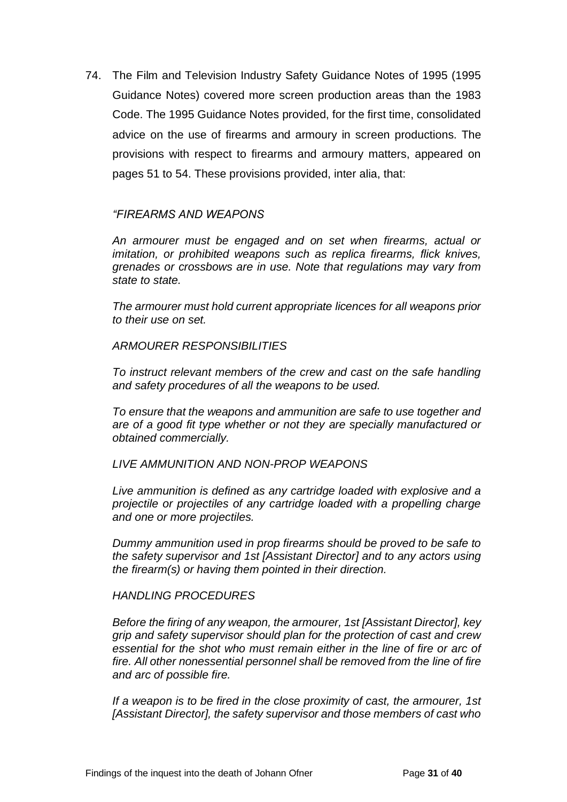74. The Film and Television Industry Safety Guidance Notes of 1995 (1995 Guidance Notes) covered more screen production areas than the 1983 Code. The 1995 Guidance Notes provided, for the first time, consolidated advice on the use of firearms and armoury in screen productions. The provisions with respect to firearms and armoury matters, appeared on pages 51 to 54. These provisions provided, inter alia, that:

#### *"FIREARMS AND WEAPONS*

*An armourer must be engaged and on set when firearms, actual or imitation, or prohibited weapons such as replica firearms, flick knives, grenades or crossbows are in use. Note that regulations may vary from state to state.* 

*The armourer must hold current appropriate licences for all weapons prior to their use on set.* 

#### *ARMOURER RESPONSIBILITIES*

*To instruct relevant members of the crew and cast on the safe handling and safety procedures of all the weapons to be used.* 

*To ensure that the weapons and ammunition are safe to use together and are of a good fit type whether or not they are specially manufactured or obtained commercially.* 

#### *LIVE AMMUNITION AND NON-PROP WEAPONS*

*Live ammunition is defined as any cartridge loaded with explosive and a projectile or projectiles of any cartridge loaded with a propelling charge and one or more projectiles.* 

*Dummy ammunition used in prop firearms should be proved to be safe to the safety supervisor and 1st [Assistant Director] and to any actors using the firearm(s) or having them pointed in their direction.* 

#### *HANDLING PROCEDURES*

*Before the firing of any weapon, the armourer, 1st [Assistant Director], key grip and safety supervisor should plan for the protection of cast and crew essential for the shot who must remain either in the line of fire or arc of fire. All other nonessential personnel shall be removed from the line of fire and arc of possible fire.* 

*If a weapon is to be fired in the close proximity of cast, the armourer, 1st [Assistant Director], the safety supervisor and those members of cast who*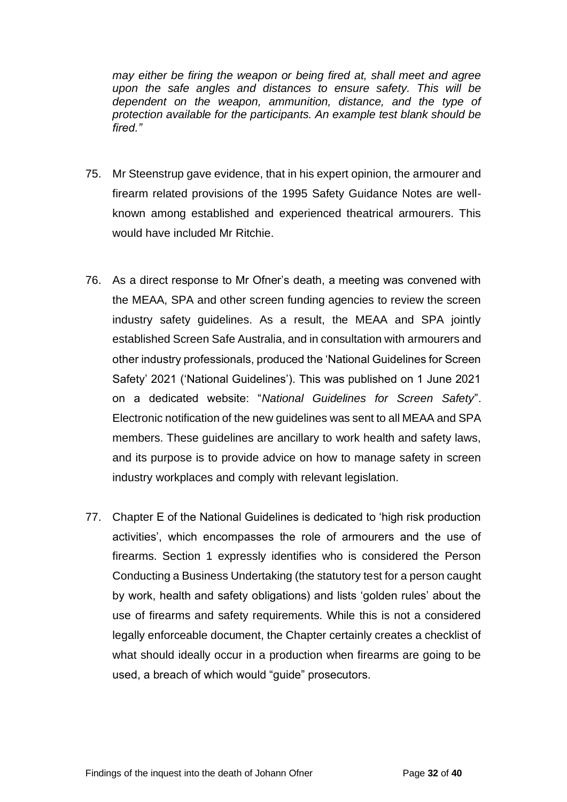*may either be firing the weapon or being fired at, shall meet and agree upon the safe angles and distances to ensure safety. This will be dependent on the weapon, ammunition, distance, and the type of protection available for the participants. An example test blank should be fired."*

- 75. Mr Steenstrup gave evidence, that in his expert opinion, the armourer and firearm related provisions of the 1995 Safety Guidance Notes are wellknown among established and experienced theatrical armourers. This would have included Mr Ritchie.
- 76. As a direct response to Mr Ofner's death, a meeting was convened with the MEAA, SPA and other screen funding agencies to review the screen industry safety guidelines. As a result, the MEAA and SPA jointly established Screen Safe Australia, and in consultation with armourers and other industry professionals, produced the 'National Guidelines for Screen Safety' 2021 ('National Guidelines'). This was published on 1 June 2021 on a dedicated website: "*National Guidelines for Screen Safety*". Electronic notification of the new guidelines was sent to all MEAA and SPA members. These guidelines are ancillary to work health and safety laws, and its purpose is to provide advice on how to manage safety in screen industry workplaces and comply with relevant legislation.
- 77. Chapter E of the National Guidelines is dedicated to 'high risk production activities', which encompasses the role of armourers and the use of firearms. Section 1 expressly identifies who is considered the Person Conducting a Business Undertaking (the statutory test for a person caught by work, health and safety obligations) and lists 'golden rules' about the use of firearms and safety requirements. While this is not a considered legally enforceable document, the Chapter certainly creates a checklist of what should ideally occur in a production when firearms are going to be used, a breach of which would "guide" prosecutors.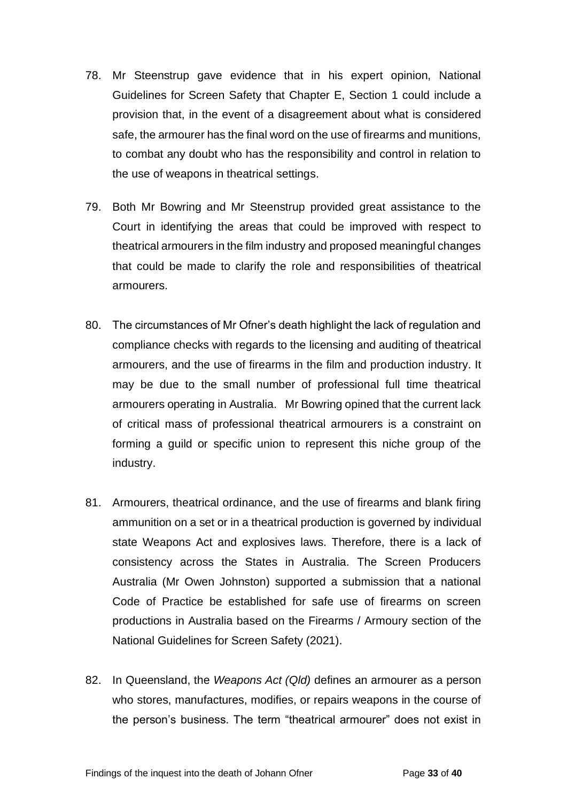- 78. Mr Steenstrup gave evidence that in his expert opinion, National Guidelines for Screen Safety that Chapter E, Section 1 could include a provision that, in the event of a disagreement about what is considered safe, the armourer has the final word on the use of firearms and munitions, to combat any doubt who has the responsibility and control in relation to the use of weapons in theatrical settings.
- 79. Both Mr Bowring and Mr Steenstrup provided great assistance to the Court in identifying the areas that could be improved with respect to theatrical armourers in the film industry and proposed meaningful changes that could be made to clarify the role and responsibilities of theatrical armourers.
- 80. The circumstances of Mr Ofner's death highlight the lack of regulation and compliance checks with regards to the licensing and auditing of theatrical armourers, and the use of firearms in the film and production industry. It may be due to the small number of professional full time theatrical armourers operating in Australia. Mr Bowring opined that the current lack of critical mass of professional theatrical armourers is a constraint on forming a guild or specific union to represent this niche group of the industry.
- 81. Armourers, theatrical ordinance, and the use of firearms and blank firing ammunition on a set or in a theatrical production is governed by individual state Weapons Act and explosives laws. Therefore, there is a lack of consistency across the States in Australia. The Screen Producers Australia (Mr Owen Johnston) supported a submission that a national Code of Practice be established for safe use of firearms on screen productions in Australia based on the Firearms / Armoury section of the National Guidelines for Screen Safety (2021).
- 82. In Queensland, the *Weapons Act (Qld)* defines an armourer as a person who stores, manufactures, modifies, or repairs weapons in the course of the person's business. The term "theatrical armourer" does not exist in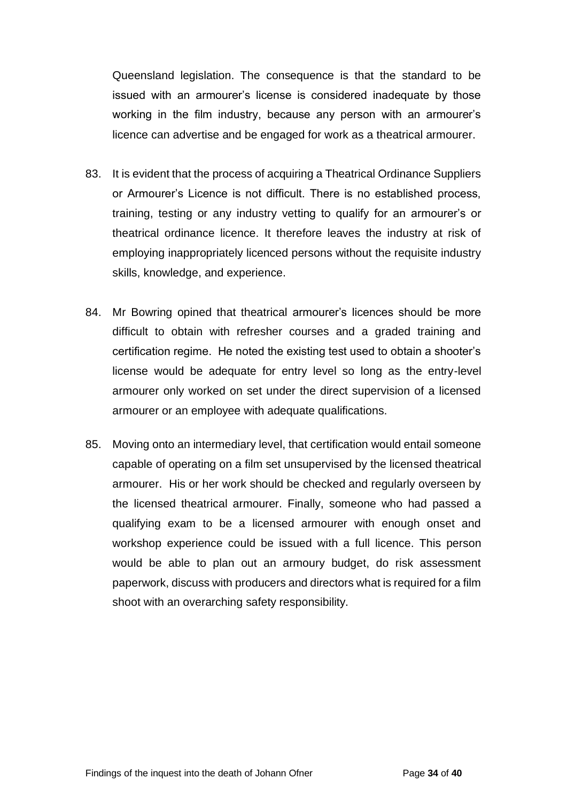Queensland legislation. The consequence is that the standard to be issued with an armourer's license is considered inadequate by those working in the film industry, because any person with an armourer's licence can advertise and be engaged for work as a theatrical armourer.

- 83. It is evident that the process of acquiring a Theatrical Ordinance Suppliers or Armourer's Licence is not difficult. There is no established process, training, testing or any industry vetting to qualify for an armourer's or theatrical ordinance licence. It therefore leaves the industry at risk of employing inappropriately licenced persons without the requisite industry skills, knowledge, and experience.
- 84. Mr Bowring opined that theatrical armourer's licences should be more difficult to obtain with refresher courses and a graded training and certification regime. He noted the existing test used to obtain a shooter's license would be adequate for entry level so long as the entry-level armourer only worked on set under the direct supervision of a licensed armourer or an employee with adequate qualifications.
- 85. Moving onto an intermediary level, that certification would entail someone capable of operating on a film set unsupervised by the licensed theatrical armourer. His or her work should be checked and regularly overseen by the licensed theatrical armourer. Finally, someone who had passed a qualifying exam to be a licensed armourer with enough onset and workshop experience could be issued with a full licence. This person would be able to plan out an armoury budget, do risk assessment paperwork, discuss with producers and directors what is required for a film shoot with an overarching safety responsibility.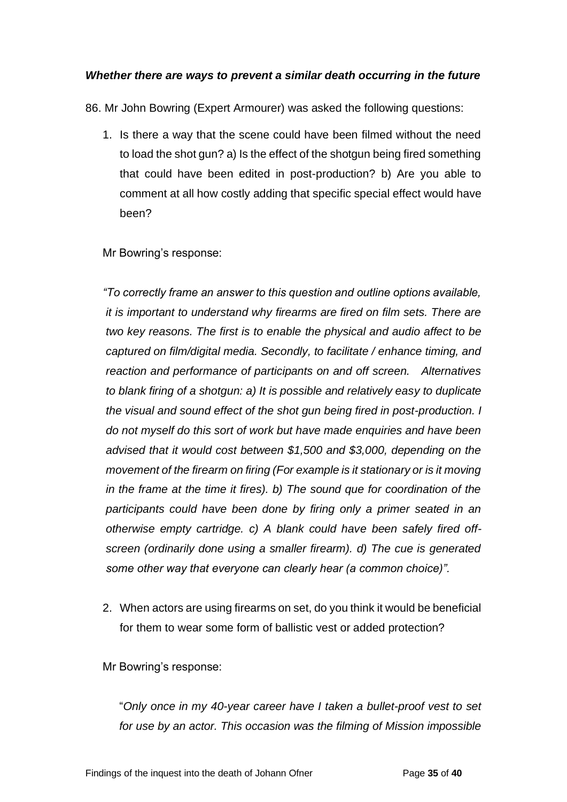# <span id="page-34-0"></span>*Whether there are ways to prevent a similar death occurring in the future*

86. Mr John Bowring (Expert Armourer) was asked the following questions:

1. Is there a way that the scene could have been filmed without the need to load the shot gun? a) Is the effect of the shotgun being fired something that could have been edited in post-production? b) Are you able to comment at all how costly adding that specific special effect would have been?

Mr Bowring's response:

*"To correctly frame an answer to this question and outline options available, it is important to understand why firearms are fired on film sets. There are two key reasons. The first is to enable the physical and audio affect to be captured on film/digital media. Secondly, to facilitate / enhance timing, and reaction and performance of participants on and off screen. Alternatives to blank firing of a shotgun: a) It is possible and relatively easy to duplicate the visual and sound effect of the shot gun being fired in post-production. I do not myself do this sort of work but have made enquiries and have been advised that it would cost between \$1,500 and \$3,000, depending on the movement of the firearm on firing (For example is it stationary or is it moving in the frame at the time it fires). b) The sound que for coordination of the participants could have been done by firing only a primer seated in an otherwise empty cartridge. c) A blank could have been safely fired offscreen (ordinarily done using a smaller firearm). d) The cue is generated some other way that everyone can clearly hear (a common choice)".* 

2. When actors are using firearms on set, do you think it would be beneficial for them to wear some form of ballistic vest or added protection?

Mr Bowring's response:

"*Only once in my 40-year career have I taken a bullet-proof vest to set for use by an actor. This occasion was the filming of Mission impossible*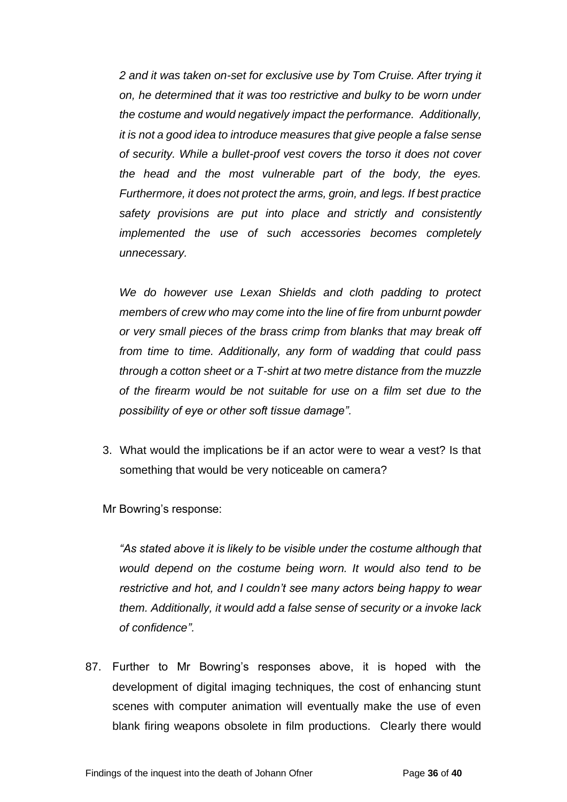*2 and it was taken on-set for exclusive use by Tom Cruise. After trying it on, he determined that it was too restrictive and bulky to be worn under the costume and would negatively impact the performance. Additionally, it is not a good idea to introduce measures that give people a false sense of security. While a bullet-proof vest covers the torso it does not cover the head and the most vulnerable part of the body, the eyes. Furthermore, it does not protect the arms, groin, and legs. If best practice safety provisions are put into place and strictly and consistently implemented the use of such accessories becomes completely unnecessary.*

*We do however use Lexan Shields and cloth padding to protect members of crew who may come into the line of fire from unburnt powder or very small pieces of the brass crimp from blanks that may break off from time to time. Additionally, any form of wadding that could pass through a cotton sheet or a T-shirt at two metre distance from the muzzle of the firearm would be not suitable for use on a film set due to the possibility of eye or other soft tissue damage".* 

3. What would the implications be if an actor were to wear a vest? Is that something that would be very noticeable on camera?

Mr Bowring's response:

*"As stated above it is likely to be visible under the costume although that would depend on the costume being worn. It would also tend to be restrictive and hot, and I couldn't see many actors being happy to wear them. Additionally, it would add a false sense of security or a invoke lack of confidence".*

87. Further to Mr Bowring's responses above, it is hoped with the development of digital imaging techniques, the cost of enhancing stunt scenes with computer animation will eventually make the use of even blank firing weapons obsolete in film productions. Clearly there would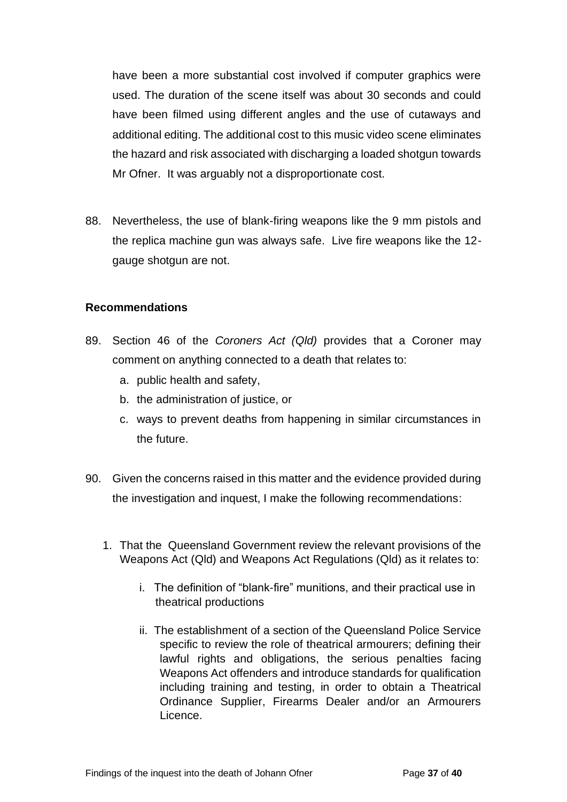have been a more substantial cost involved if computer graphics were used. The duration of the scene itself was about 30 seconds and could have been filmed using different angles and the use of cutaways and additional editing. The additional cost to this music video scene eliminates the hazard and risk associated with discharging a loaded shotgun towards Mr Ofner. It was arguably not a disproportionate cost.

88. Nevertheless, the use of blank-firing weapons like the 9 mm pistols and the replica machine gun was always safe. Live fire weapons like the 12 gauge shotgun are not.

#### <span id="page-36-0"></span>**Recommendations**

- 89. Section 46 of the *Coroners Act (Qld)* provides that a Coroner may comment on anything connected to a death that relates to:
	- a. public health and safety,
	- b. the administration of justice, or
	- c. ways to prevent deaths from happening in similar circumstances in the future.
- 90. Given the concerns raised in this matter and the evidence provided during the investigation and inquest, I make the following recommendations:
	- 1. That the Queensland Government review the relevant provisions of the Weapons Act (Qld) and Weapons Act Regulations (Qld) as it relates to:
		- i. The definition of "blank-fire" munitions, and their practical use in theatrical productions
		- ii. The establishment of a section of the Queensland Police Service specific to review the role of theatrical armourers; defining their lawful rights and obligations, the serious penalties facing Weapons Act offenders and introduce standards for qualification including training and testing, in order to obtain a Theatrical Ordinance Supplier, Firearms Dealer and/or an Armourers Licence.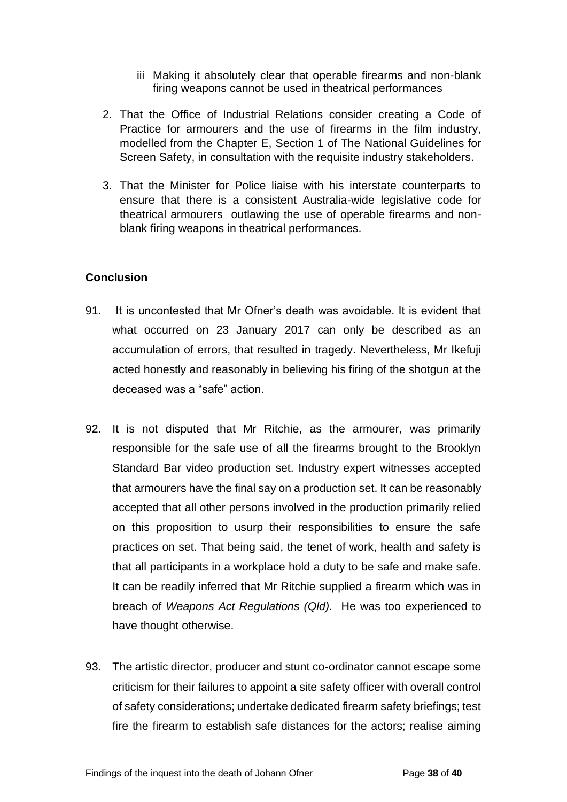- iii Making it absolutely clear that operable firearms and non-blank firing weapons cannot be used in theatrical performances
- 2. That the Office of Industrial Relations consider creating a Code of Practice for armourers and the use of firearms in the film industry, modelled from the Chapter E, Section 1 of The National Guidelines for Screen Safety, in consultation with the requisite industry stakeholders.
- 3. That the Minister for Police liaise with his interstate counterparts to ensure that there is a consistent Australia-wide legislative code for theatrical armourers outlawing the use of operable firearms and nonblank firing weapons in theatrical performances.

# <span id="page-37-0"></span>**Conclusion**

- 91. It is uncontested that Mr Ofner's death was avoidable. It is evident that what occurred on 23 January 2017 can only be described as an accumulation of errors, that resulted in tragedy. Nevertheless, Mr Ikefuji acted honestly and reasonably in believing his firing of the shotgun at the deceased was a "safe" action.
- 92. It is not disputed that Mr Ritchie, as the armourer, was primarily responsible for the safe use of all the firearms brought to the Brooklyn Standard Bar video production set. Industry expert witnesses accepted that armourers have the final say on a production set. It can be reasonably accepted that all other persons involved in the production primarily relied on this proposition to usurp their responsibilities to ensure the safe practices on set. That being said, the tenet of work, health and safety is that all participants in a workplace hold a duty to be safe and make safe. It can be readily inferred that Mr Ritchie supplied a firearm which was in breach of *Weapons Act Regulations (Qld).* He was too experienced to have thought otherwise.
- 93. The artistic director, producer and stunt co-ordinator cannot escape some criticism for their failures to appoint a site safety officer with overall control of safety considerations; undertake dedicated firearm safety briefings; test fire the firearm to establish safe distances for the actors; realise aiming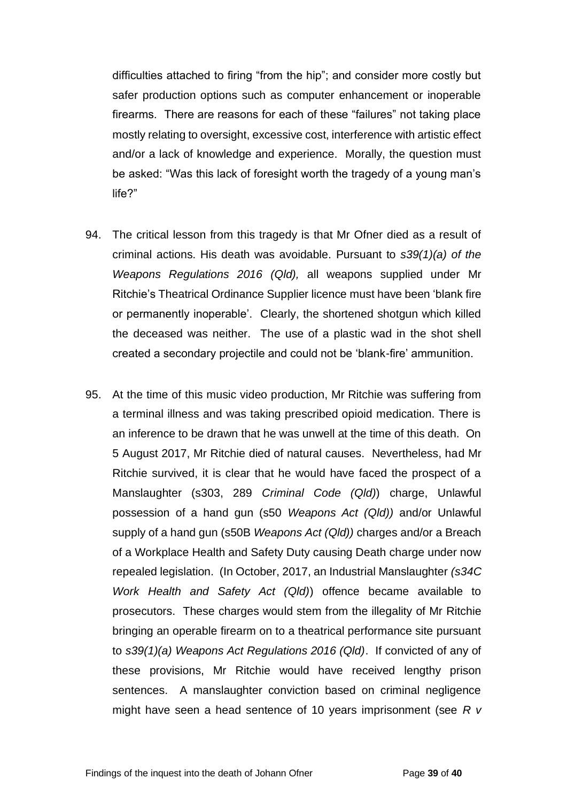difficulties attached to firing "from the hip"; and consider more costly but safer production options such as computer enhancement or inoperable firearms. There are reasons for each of these "failures" not taking place mostly relating to oversight, excessive cost, interference with artistic effect and/or a lack of knowledge and experience. Morally, the question must be asked: "Was this lack of foresight worth the tragedy of a young man's life?"

- 94. The critical lesson from this tragedy is that Mr Ofner died as a result of criminal actions. His death was avoidable. Pursuant to *s39(1)(a) of the Weapons Regulations 2016 (Qld),* all weapons supplied under Mr Ritchie's Theatrical Ordinance Supplier licence must have been 'blank fire or permanently inoperable'. Clearly, the shortened shotgun which killed the deceased was neither. The use of a plastic wad in the shot shell created a secondary projectile and could not be 'blank-fire' ammunition.
- 95. At the time of this music video production, Mr Ritchie was suffering from a terminal illness and was taking prescribed opioid medication. There is an inference to be drawn that he was unwell at the time of this death. On 5 August 2017, Mr Ritchie died of natural causes. Nevertheless, had Mr Ritchie survived, it is clear that he would have faced the prospect of a Manslaughter (s303, 289 *Criminal Code (Qld)*) charge, Unlawful possession of a hand gun (s50 *Weapons Act (Qld))* and/or Unlawful supply of a hand gun (s50B *Weapons Act (Qld))* charges and/or a Breach of a Workplace Health and Safety Duty causing Death charge under now repealed legislation. (In October, 2017, an Industrial Manslaughter *(s34C Work Health and Safety Act (Qld)*) offence became available to prosecutors. These charges would stem from the illegality of Mr Ritchie bringing an operable firearm on to a theatrical performance site pursuant to *s39(1)(a) Weapons Act Regulations 2016 (Qld)*. If convicted of any of these provisions, Mr Ritchie would have received lengthy prison sentences. A manslaughter conviction based on criminal negligence might have seen a head sentence of 10 years imprisonment (see *R v*